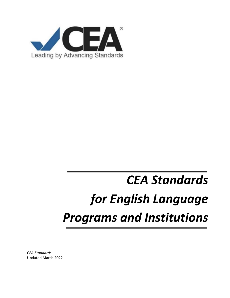

# *CEA Standards for English Language Programs and Institutions*

*CEA Standards* Updated March 2022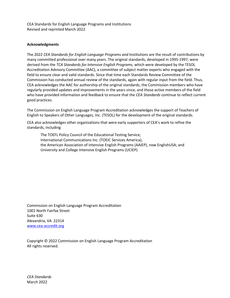CEA Standards for English Language Programs and Institutions Revised and reprinted March 2022

#### **Acknowledgments**

The 2022 *CEA Standards for English Language Programs and Institutions* are the result of contributions by many committed professional over many years. The original standards, developed in 1995-1997, were derived from the *TCA Standards for Intensive English Programs,* which were developed by the TESOL Accreditation Advisory Committee (AAC), a committee of subject matter experts who engaged with the field to ensure clear and valid standards. Since that time each Standards Review Committee of the Commission has conducted annual review of the standards, again with regular input from the field. Thus, CEA acknowledges the AAC for authorship of the original standards, the Commission members who have regularly provided updates and improvements in the years since, and those active members of the field who have provided information and feedback to ensure that the *CEA Standards* continue to reflect current good practices.

The Commission on English Language Program Accreditation acknowledges the support of Teachers of English to Speakers of Other Languages, Inc. (TESOL) for the development of the original standards.

CEA also acknowledges other organizations that were early supporters of CEA's work to refine the standards, including

The TOEFL Policy Council of the Educational Testing Service; International Communications Inc. (TOEIC Services America); the American Association of Intensive English Programs (AAIEP), now EnglishUSA; and University and College Intensive English Programs (UCIEP).

Commission on English Language Program Accreditation 1001 North Fairfax Street Suite 630 Alexandria, VA 22314 [www.cea-accredit.org](http://www.cea-accredit.org/)

Copyright © 2022 Commission on English Language Program Accreditation All rights reserved.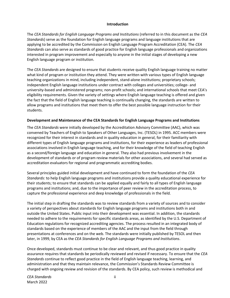#### **Introduction**

The *CEA Standards for English Language Programs and Institutions* (referred to in this document as the *CEA Standards*) serve as the foundation for English language programs and language institutions that are applying to be accredited by the Commission on English Language Program Accreditation (CEA). The *CEA Standards* can also serve as standards of good practice for English language professionals and organizations interested in program improvement and especially to anyone in the initial stages of developing a new English language program or institution.

The *CEA Standards* are designed to ensure that students receive quality English language training no matter what kind of program or institution they attend. They were written with various types of English language teaching organizations in mind, including independent, stand-alone institutions; proprietary schools; independent English language institutions under contract with colleges and universities; college- and university-based and administered programs; non-profit schools; and international schools that meet CEA's eligibility requirements. Given the variety of settings where English language teaching is offered and given the fact that the field of English language teaching is continually changing, the standards are written to allow programs and institutions that meet them to offer the best possible language instruction for their students.

## **Development and Maintenance of the CEA Standards for English Language Programs and Institutions**

The *CEA Standards* were initially developed by the Accreditation Advisory Committee (AAC), which was convened by Teachers of English to Speakers of Other Languages, Inc. (TESOL) in 1995. ACC members were recognized for their interest in standards and in quality education in general, for their familiarity with different types of English language programs and institutions, for their experience as leaders of professional associations involved in English language teaching, and for their knowledge of the field of teaching English as a second/foreign language and education in general. They also had previous involvement in the development of standards or of program review materials for other associations, and several had served as accreditation evaluators for regional and programmatic accrediting bodies.

Several principles guided initial development and have continued to form the foundation of the *CEA Standards:* to help English language programs and institutions provide a quality educational experience for their students; to ensure that standards can be applied equally and fairly to all types of English language programs and institutions; and, due to the importance of peer review in the accreditation process, to capture the professional experience and deep knowledge of professionals in the field.

The initial step in drafting the standards was to review standards from a variety of sources and to consider a variety of perspectives about standards for English language programs and institutions both in and outside the United States. Public input into their development was essential. In addition, the standards needed to adhere to the requirements for specific standards areas, as identified by the U.S. Department of Education regulations for recognized accrediting agencies. The process resulted in an integrated body of standards based on the experience of members of the AAC and the input from the field through presentations at conferences and on the web. The standards were initially published by TESOL and then later, in 1999, by CEA as the *CEA Standards for English Language Programs and Institutions*.

Once developed, standards must continue to be clear and relevant, and thus good practice in quality assurance requires that standards be periodically reviewed and revised if necessary. To ensure that the *CEA Standards* continue to reflect good practice in the field of English language teaching, learning, and administration and that they maintain relevance, the Commission's Standards Review Committee is charged with ongoing review and revision of the standards. By CEA policy, such review is methodical and

*CEA Standards* ii March 2022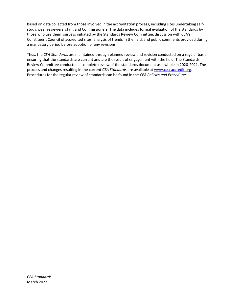based on data collected from those involved in the accreditation process, including sites undertaking selfstudy, peer reviewers, staff, and Commissioners. The data includes formal evaluation of the standards by those who use them, surveys initiated by the Standards Review Committee, discussion with CEA's Constituent Council of accredited sites, analysis of trends in the field, and public comments provided during a mandatory period before adoption of any revisions.

Thus, the *CEA Standards* are maintained through planned review and revision conducted on a regular basis ensuring that the standards are current and are the result of engagement with the field. The Standards Review Committee conducted a complete review of the standards document as a whole in 2020-2021. The process and changes resulting in the current *CEA Standards* are available at [www.cea-accredit.org.](http://www.cea-accredit.org/) Procedures for the regular review of standards can be found in the *CEA Policies and Procedures.*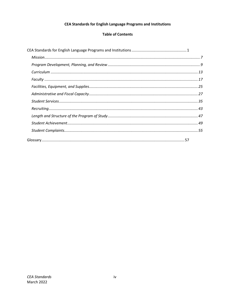# CEA Standards for English Language Programs and Institutions

## **Table of Contents**

<span id="page-4-0"></span>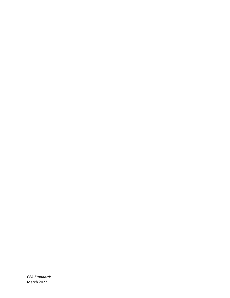*CEA Standards*  March 2022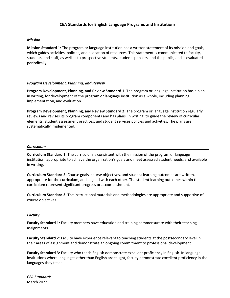## **CEA Standards for English Language Programs and Institutions**

#### *Mission*

**Mission Standard 1**: The program or language institution has a written statement of its mission and goals, which guides activities, policies, and allocation of resources. This statement is communicated to faculty, students, and staff, as well as to prospective students, student sponsors, and the public, and is evaluated periodically.

#### *Program Development, Planning, and Review*

**Program Development, Planning, and Review Standard 1**: The program or language institution has a plan, in writing, for development of the program or language institution as a whole, including planning, implementation, and evaluation.

**Program Development, Planning, and Review Standard 2:** The program or language institution regularly reviews and revises its program components and has plans, in writing, to guide the review of curricular elements, student assessment practices, and student services policies and activities. The plans are systematically implemented.

#### *Curriculum*

**Curriculum Standard 1**: The curriculum is consistent with the mission of the program or language institution, appropriate to achieve the organization's goals and meet assessed student needs, and available in writing.

**Curriculum Standard 2**: Course goals, course objectives, and student learning outcomes are written, appropriate for the curriculum, and aligned with each other. The student learning outcomes within the curriculum represent significant progress or accomplishment.

**Curriculum Standard 3**: The instructional materials and methodologies are appropriate and supportive of course objectives.

#### *Faculty*

**Faculty Standard 1**: Faculty members have education and training commensurate with their teaching assignments.

**Faculty Standard 2**: Faculty have experience relevant to teaching students at the postsecondary level in their areas of assignment and demonstrate an ongoing commitment to professional development.

**Faculty Standard 3**: Faculty who teach English demonstrate excellent proficiency in English. In language institutions where languages other than English are taught, faculty demonstrate excellent proficiency in the languages they teach.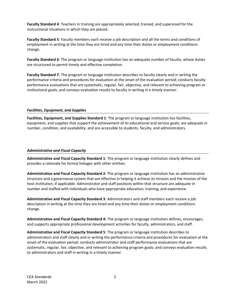**Faculty Standard 4**: Teachers in training are appropriately selected, trained, and supervised for the instructional situations in which they are placed.

**Faculty Standard 5**: Faculty members each receive a job description and all the terms and conditions of employment in writing at the time they are hired and any time their duties or employment conditions change.

**Faculty Standard 6**: The program or language institution has an adequate number of faculty, whose duties are structured to permit timely and effective completion.

**Faculty Standard 7**: The program or language institution describes to faculty clearly and in writing the performance criteria and procedures for evaluation at the onset of the evaluation period; conducts faculty performance evaluations that are systematic, regular, fair, objective, and relevant to achieving program or institutional goals; and conveys evaluation results to faculty in writing in a timely manner.

# *Facilities, Equipment, and Supplies*

**Facilities, Equipment, and Supplies Standard 1**: The program or language institution has facilities, equipment, and supplies that support the achievement of its educational and service goals; are adequate in number, condition, and availability; and are accessible to students, faculty, and administrators.

## *Administrative and Fiscal Capacity*

**Administrative and Fiscal Capacity Standard 1**: The program or language institution clearly defines and provides a rationale for formal linkages with other entities.

**Administrative and Fiscal Capacity Standard 2**: The program or language institution has an administrative structure and a governance system that are effective in helping it achieve its mission and the mission of the host institution, if applicable. Administrator and staff positions within that structure are adequate in number and staffed with individuals who have appropriate education, training, and experience.

**Administrative and Fiscal Capacity Standard 3**: Administrators and staff members each receive a job description in writing at the time they are hired and any time their duties or employment conditions change.

**Administrative and Fiscal Capacity Standard 4:** The program or language institution defines, encourages, and supports appropriate professional development activities for faculty, administrators, and staff.

**Administrative and Fiscal Capacity Standard 5**: The program or language institution describes to administrators and staff clearly and in writing the performance criteria and procedures for evaluation at the onset of the evaluation period; conducts administrator and staff performance evaluations that are systematic, regular, fair, objective, and relevant to achieving program goals; and conveys evaluation results to administrators and staff in writing in a timely manner.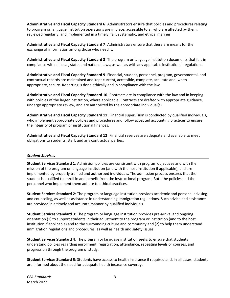**Administrative and Fiscal Capacity Standard 6**: Administrators ensure that policies and procedures relating to program or language institution operations are in place, accessible to all who are affected by them, reviewed regularly, and implemented in a timely, fair, systematic, and ethical manner.

**Administrative and Fiscal Capacity Standard 7**: Administrators ensure that there are means for the exchange of information among those who need it.

**Administrative and Fiscal Capacity Standard 8**: The program or language institution documents that it is in compliance with all local, state, and national laws, as well as with any applicable institutional regulations.

**Administrative and Fiscal Capacity Standard 9**: Financial, student, personnel, program, governmental, and contractual records are maintained and kept current, accessible, complete, accurate and, when appropriate, secure. Reporting is done ethically and in compliance with the law.

**Administrative and Fiscal Capacity Standard 10**: Contracts are in compliance with the law and in keeping with policies of the larger institution, where applicable. Contracts are drafted with appropriate guidance, undergo appropriate review, and are authorized by the appropriate individual(s).

**Administrative and Fiscal Capacity Standard 11**: Financial supervision is conducted by qualified individuals, who implement appropriate policies and procedures and follow accepted accounting practices to ensure the integrity of program or institutional finances.

**Administrative and Fiscal Capacity Standard 12**: Financial reserves are adequate and available to meet obligations to students, staff, and any contractual parties.

#### *Student Services*

**Student Services Standard 1**: Admission policies are consistent with program objectives and with the mission of the program or language institution (and with the host institution if applicable), and are implemented by properly trained and authorized individuals. The admission process ensures that the student is qualified to enroll in and benefit from the instructional program. Both the policies and the personnel who implement them adhere to ethical practices.

**Student Services Standard 2**: The program or language institution provides academic and personal advising and counseling, as well as assistance in understanding immigration regulations. Such advice and assistance are provided in a timely and accurate manner by qualified individuals.

**Student Services Standard 3**: The program or language institution provides pre-arrival and ongoing orientation (1) to support students in their adjustment to the program or institution (and to the host institution if applicable) and to the surrounding culture and community and (2) to help them understand immigration regulations and procedures, as well as health and safety issues.

**Student Services Standard 4**: The program or language institution seeks to ensure that students understand policies regarding enrollment, registration, attendance, repeating levels or courses, and progression through the program of study.

**Student Services Standard 5**: Students have access to health insurance if required and, in all cases, students are informed about the need for adequate health insurance coverage.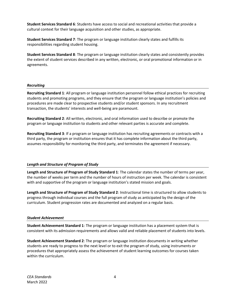**Student Services Standard 6**: Students have access to social and recreational activities that provide a cultural context for their language acquisition and other studies, as appropriate.

**Student Services Standard 7**: The program or language institution clearly states and fulfills its responsibilities regarding student housing.

**Student Services Standard 8**: The program or language institution clearly states and consistently provides the extent of student services described in any written, electronic, or oral promotional information or in agreements.

## *Recruiting*

**Recruiting Standard 1**: All program or language institution personnel follow ethical practices for recruiting students and promoting programs, and they ensure that the program or language institution's policies and procedures are made clear to prospective students and/or student sponsors. In any recruitment transaction, the students' interests and well-being are paramount.

**Recruiting Standard 2**: All written, electronic, and oral information used to describe or promote the program or language institution to students and other relevant parties is accurate and complete.

**Recruiting Standard 3**: If a program or language institution has recruiting agreements or contracts with a third party, the program or institution ensures that it has complete information about the third party, assumes responsibility for monitoring the third party, and terminates the agreement if necessary.

# *Length and Structure of Program of Study*

**Length and Structure of Program of Study Standard 1**: The calendar states the number of terms per year, the number of weeks per term and the number of hours of instruction per week. The calendar is consistent with and supportive of the program or language institution's stated mission and goals.

**Length and Structure of Program of Study Standard 2**: Instructional time is structured to allow students to progress through individual courses and the full program of study as anticipated by the design of the curriculum. Student progression rates are documented and analyzed on a regular basis.

# *Student Achievement*

**Student Achievement Standard 1**: The program or language institution has a placement system that is consistent with its admission requirements and allows valid and reliable placement of students into levels.

**Student Achievement Standard 2**: The program or language institution documents in writing whether students are ready to progress to the next level or to exit the program of study, using instruments or procedures that appropriately assess the achievement of student learning outcomes for courses taken within the curriculum.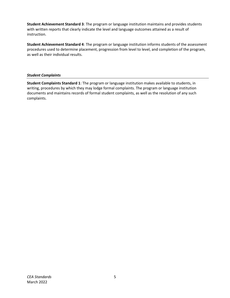**Student Achievement Standard 3**: The program or language institution maintains and provides students with written reports that clearly indicate the level and language outcomes attained as a result of instruction.

**Student Achievement Standard 4**: The program or language institution informs students of the assessment procedures used to determine placement, progression from level to level, and completion of the program, as well as their individual results.

# *Student Complaints*

**Student Complaints Standard 1**: The program or language institution makes available to students, in writing, procedures by which they may lodge formal complaints. The program or language institution documents and maintains records of formal student complaints, as well as the resolution of any such complaints.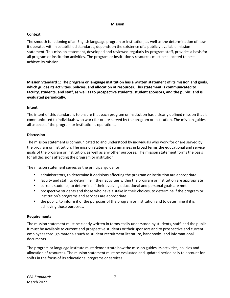#### **Mission**

# **Context**

The smooth functioning of an English language program or institution, as well as the determination of how it operates within established standards, depends on the existence of a publicly-available mission statement. This mission statement, developed and reviewed regularly by program staff, provides a basis for all program or institution activities. The program or institution's resources must be allocated to best achieve its mission.

**Mission Standard 1: The program or language institution has a written statement of its mission and goals, which guides its activities, policies, and allocation of resources. This statement is communicated to faculty, students, and staff, as well as to prospective students, student sponsors, and the public, and is evaluated periodically.**

# **Intent**

The intent of this standard is to ensure that each program or institution has a clearly defined mission that is communicated to individuals who work for or are served by the program or institution. The mission guides all aspects of the program or institution's operations.

# **Discussion**

The mission statement is communicated to and understood by individuals who work for or are served by the program or institution. The mission statement summarizes in broad terms the educational and service goals of the program or institution, as well as any other purposes. The mission statement forms the basis for all decisions affecting the program or institution.

The mission statement serves as the principal guide for:

- administrators, to determine if decisions affecting the program or institution are appropriate
- faculty and staff, to determine if their activities within the program or institution are appropriate
- current students, to determine if their evolving educational and personal goals are met
- prospective students and those who have a stake in their choices, to determine if the program or institution's programs and services are appropriate
- the public, to inform it of the purposes of the program or institution and to determine if it is achieving those purposes.

# **Requirements**

The mission statement must be clearly written in terms easily understood by students, staff, and the public. It must be available to current and prospective students or their sponsors and to prospective and current employees through materials such as student recruitment literature, handbooks, and informational documents.

The program or language institute must demonstrate how the mission guides its activities, policies and allocation of resources. The mission statement must be evaluated and updated periodically to account for shifts in the focus of its educational programs or services.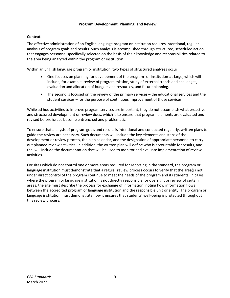## **Program Development, Planning, and Review**

## **Context**

The effective administration of an English language program or institution requires intentional, regular analysis of program goals and results. Such analysis is accomplished through structured, scheduled action that engages personnel specifically selected on the basis of their knowledge and responsibilities related to the area being analyzed within the program or institution.

Within an English language program or institution, two types of structured analyses occur:

- One focuses on planning for development of the program- or institution-at-large, which will include, for example, review of program mission, study of external trends and challenges, evaluation and allocation of budgets and resources, and future planning.
- The second is focused on the review of the primary services the educational services and the student services – for the purpose of continuous improvement of those services.

While ad hoc activities to improve program services are important, they do not accomplish what proactive and structured development or review does, which is to ensure that program elements are evaluated and revised before issues become entrenched and problematic.

To ensure that analysis of program goals and results is intentional and conducted regularly, written plans to guide the review are necessary. Such documents will include the key elements and steps of the development or review process, the plan calendar, and the designation of appropriate personnel to carry out planned review activities. In addition, the written plan will define who is accountable for results, and the will include the documentation that will be used to monitor and evaluate implementation of review activities.

For sites which do not control one or more areas required for reporting in the standard, the program or language institution must demonstrate that a regular review process occurs to verify that the area(s) not under direct control of the program continue to meet the needs of the program and its students. In cases where the program or language institution is not directly responsible for oversight or review of certain areas, the site must describe the process for exchange of information, noting how information flows between the accredited program or language institution and the responsible unit or entity. The program or language institution must demonstrate how it ensures that students' well-being is protected throughout this review process.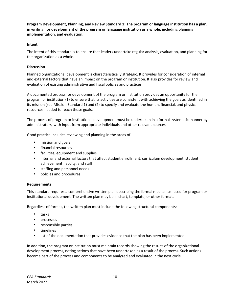**Program Development, Planning, and Review Standard 1: The program or language institution has a plan, in writing, for development of the program or language institution as a whole, including planning, implementation, and evaluation.**

# **Intent**

The intent of this standard is to ensure that leaders undertake regular analysis, evaluation, and planning for the organization as a whole.

## **Discussion**

Planned organizational development is characteristically strategic. It provides for consideration of internal and external factors that have an impact on the program or institution. It also provides for review and evaluation of existing administrative and fiscal policies and practices.

A documented process for development of the program or institution provides an opportunity for the program or institution (1) to ensure that its activities are consistent with achieving the goals as identified in its mission (see Mission Standard 1) and (2) to specify and evaluate the human, financial, and physical resources needed to reach those goals.

The process of program or institutional development must be undertaken in a formal systematic manner by administrators, with input from appropriate individuals and other relevant sources.

Good practice includes reviewing and planning in the areas of

- mission and goals
- financial resources
- facilities, equipment and supplies
- internal and external factors that affect student enrollment, curriculum development, student achievement, faculty, and staff
- staffing and personnel needs
- policies and procedures

# **Requirements**

This standard requires a comprehensive written plan describing the formal mechanism used for program or institutional development. The written plan may be in chart, template, or other format.

Regardless of format, the written plan must include the following structural components:

- tasks
- processes
- responsible parties
- timelines
- list of the documentation that provides evidence that the plan has been implemented.

In addition, the program or institution must maintain records showing the results of the organizational development process, noting actions that have been undertaken as a result of the process. Such actions become part of the process and components to be analyzed and evaluated in the next cycle.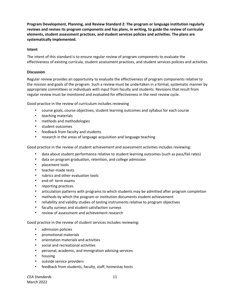**Program Development, Planning, and Review Standard 2: The program or language institution regularly reviews and revises its program components and has plans, in writing, to guide the review of curricular elements, student assessment practices, and student services policies and activities. The plans are systematically implemented.**

## **Intent**

The intent of this standard is to ensure regular review of program components to evaluate the effectiveness of existing curricula, student assessment practices, and student services policies and activities.

## **Discussion**

Regular review provides an opportunity to evaluate the effectiveness of program components relative to the mission and goals of the program. Such a review must be undertaken in a formal, systematic manner by appropriate committees or individuals with input from faculty and students. Revisions that result from regular review must be monitored and evaluated for effectiveness in the next review cycle.

Good practice in the review of curriculum includes reviewing

- course goals, course objectives, student learning outcomes and syllabus for each course
- teaching materials
- methods and methodologies
- student outcomes
- feedback from faculty and students
- research in the areas of language acquisition and language teaching

Good practice in the review of student achievement and assessment activities includes reviewing:

- data about student performance relative to student learning outcomes (such as pass/fail rates)
- data on program graduation, retention, and college admission
- placement tools
- teacher-made tests
- rubrics and other evaluation tools
- end-of- term exams
- reporting practices
- articulation patterns with programs to which students may be admitted after program completion
- methods by which the program or institution documents student achievement
- reliability and validity studies of testing instruments relative to program objectives
- faculty surveys and student satisfaction surveys
- review of assessment and achievement research

Good practice in the review of student services includes reviewing:

- admission policies
- promotional materials
- orientation materials and activities
- social and recreational activities
- personal, academic, and immigration advising services
- housing
- outside service providers
- feedback from students, faculty, staff, homestay hosts

*CEA Standards* 11 March 2022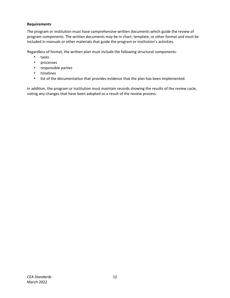# **Requirements**

The program or institution must have comprehensive written documents which guide the review of program components. The written documents may be in chart, template, or other format and must be included in manuals or other materials that guide the program or institution's activities.

Regardless of format, the written plan must include the following structural components:

- tasks
- processes
- responsible parties
- timelines
- list of the documentation that provides evidence that the plan has been implemented.

In addition, the program or institution must maintain records showing the results of the review cycle, noting any changes that have been adopted as a result of the review process.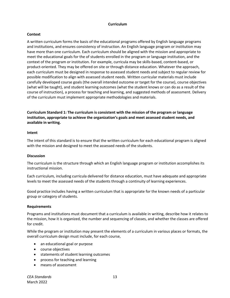#### **Curriculum**

## <span id="page-18-0"></span>**Context**

A written curriculum forms the basis of the educational programs offered by English language programs and institutions, and ensures consistency of instruction. An English language program or institution may have more than one curriculum. Each curriculum should be aligned with the mission and appropriate to meet the educational goals for the of students enrolled in the program or language institution, and the context of the program or institution. For example, curricula may be skills-based, content-based, or product-oriented. They may be offered on site or through distance education. Whatever the approach, each curriculum must be designed in response to assessed student needs and subject to regular review for possible modification to align with assessed student needs. Written curricular materials must include carefully developed course goals (the overall intended outcome or target for the course), course objectives (what will be taught), and student learning outcomes (what the student knows or can do as a result of the course of instruction), a process for teaching and learning, and suggested methods of assessment. Delivery of the curriculum must implement appropriate methodologies and materials.

**Curriculum Standard 1: The curriculum is consistent with the mission of the program or language institution, appropriate to achieve the organization's goals and meet assessed student needs, and available in writing.**

#### **Intent**

The intent of this standard is to ensure that the written curriculum for each educational program is aligned with the mission and designed to meet the assessed needs of the students.

#### **Discussion**

The curriculum is the structure through which an English language program or institution accomplishes its instructional mission.

Each curriculum*,* including curricula delivered for distance education, must have adequate and appropriate levels to meet the assessed needs of the students through a continuity of learning experiences.

Good practice includes having a written curriculum that is appropriate for the known needs of a particular group or category of students.

#### **Requirements**

Programs and institutions must document that a curriculum is available in writing, describe how it relates to the mission, how it is organized, the number and sequencing of classes, and whether the classes are offered for credit.

While the program or institution may present the elements of a curriculum in various places or formats, the overall curriculum design must include, for each course,

- an educational goal or purpose
- course objectives
- statements of student learning outcomes
- process for teaching and learning
- means of assessment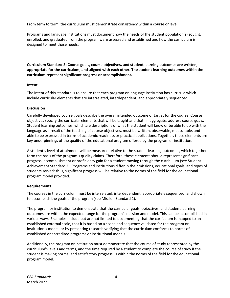From term to term, the curriculum must demonstrate consistency within a course or level.

Programs and language institutions must document how the needs of the student population(s) sought, enrolled, and graduated from the program were assessed and established and how the curriculum is designed to meet those needs.

**Curriculum Standard 2: Course goals, course objectives, and student learning outcomes are written, appropriate for the curriculum, and aligned with each other. The student learning outcomes within the curriculum represent significant progress or accomplishment.** 

## **Intent**

The intent of this standard is to ensure that each program or language institution has curricula which include curricular elements that are interrelated, interdependent, and appropriately sequenced.

## **Discussion**

Carefully developed course goals describe the overall intended outcome or target for the course. Course objectives specify the curricular elements that will be taught and that, in aggregate, address course goals. Student learning outcomes, which are descriptions of what the student will know or be able to do with the language as a result of the teaching of course objectives, must be written, observable, measurable, and able to be expressed in terms of academic readiness or practical applications. Together, these elements are key underpinnings of the quality of the educational program offered by the program or institution.

A student's level of attainment will be measured relative to the student learning outcomes, which together form the basis of the program's quality claims. Therefore, these elements should represent significant progress, accomplishment or proficiency gain for a student moving through the curriculum (see Student Achievement Standard 2). Programs and institutions differ in their missions, educational goals, and types of students served; thus, significant progress will be relative to the norms of the field for the educational program model provided.

#### **Requirements**

The courses in the curriculum must be interrelated, interdependent, appropriately sequenced, and shown to accomplish the goals of the program (see Mission Standard 1).

The program or institution to demonstrate that the curricular goals, objectives, and student learning outcomes are within the expected range for the program's mission and model. This can be accomplished in various ways. Examples include but are not limited to documenting that the curriculum is mapped to an established external scale, that it is based on a scope and sequence validated for the program or institution's model, or by presenting research verifying that the curriculum conforms to norms of established or accredited programs or institutional models.

Additionally, the program or institution must demonstrate that the course of study represented by the curriculum's levels and terms, and the time required by a student to complete the course of study if the student is making normal and satisfactory progress, is within the norms of the field for the educational program model.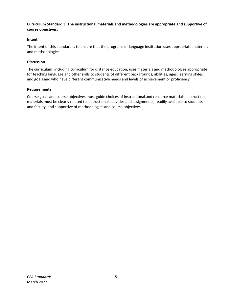**Curriculum Standard 3: The instructional materials and methodologies are appropriate and supportive of course objectives.**

# **Intent**

The intent of this standard is to ensure that the programs or language institution uses appropriate materials and methodologies.

## **Discussion**

The curriculum, including curriculum for distance education, uses materials and methodologies appropriate for teaching language and other skills to students of different backgrounds, abilities, ages, learning styles, and goals and who have different communicative needs and levels of achievement or proficiency.

#### **Requirements**

Course goals and course objectives must guide choices of instructional and resource materials. Instructional materials must be clearly related to instructional activities and assignments, readily available to students and faculty, and supportive of methodologies and course objectives.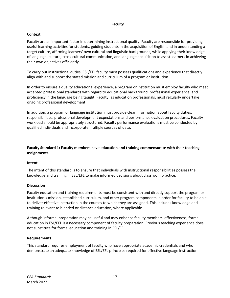## **Faculty**

# **Context**

Faculty are an important factor in determining instructional quality. Faculty are responsible for providing useful learning activities for students, guiding students in the acquisition of English and in understanding a target culture, affirming learners' own cultural and linguistic backgrounds, while applying their knowledge of language, culture, cross-cultural communication, and language acquisition to assist learners in achieving their own objectives efficiently.

To carry out instructional duties, ESL/EFL faculty must possess qualifications and experience that directly align with and support the stated mission and curriculum of a program or institution.

In order to ensure a quality educational experience, a program or institution must employ faculty who meet accepted professional standards with regard to educational background, professional experience, and proficiency in the language being taught. Faculty, as education professionals, must regularly undertake ongoing professional development.

In addition, a program or language institution must provide clear information about faculty duties, responsibilities, professional development expectations and performance evaluation procedures. Faculty workload should be appropriately structured. Faculty performance evaluations must be conducted by qualified individuals and incorporate multiple sources of data.

# **Faculty Standard 1: Faculty members have education and training commensurate with their teaching assignments.**

# **Intent**

The intent of this standard is to ensure that individuals with instructional responsibilities possess the knowledge and training in ESL/EFL to make informed decisions about classroom practice.

# **Discussion**

Faculty education and training requirements must be consistent with and directly support the program or institution's mission, established curriculum, and other program components in order for faculty to be able to deliver effective instruction in the courses to which they are assigned. This includes knowledge and training relevant to blended or distance education, where applicable.

Although informal preparation may be useful and may enhance faculty members' effectiveness, formal education in ESL/EFL is a necessary component of faculty preparation. Previous teaching experience does not substitute for formal education and training in ESL/EFL.

# **Requirements**

This standard requires employment of faculty who have appropriate academic credentials and who demonstrate an adequate knowledge of ESL/EFL principles required for effective language instruction.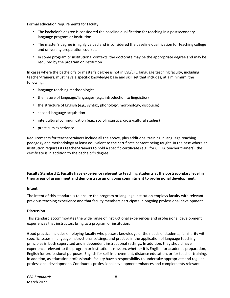Formal education requirements for faculty:

- The bachelor's degree is considered the baseline qualification for teaching in a postsecondary language program or institution.
- The master's degree is highly valued and is considered the baseline qualification for teaching college and university preparation courses.
- In some program or institutional contexts, the doctorate may be the appropriate degree and may be required by the program or institution.

In cases where the bachelor's or master's degree is not in ESL/EFL, language teaching faculty, including teacher-trainers, must have a specific knowledge base and skill set that includes, at a minimum, the following:

- language teaching methodologies
- the nature of language/languages (e.g., introduction to linguistics)
- the structure of English (e.g., syntax, phonology, morphology, discourse)
- second language acquisition
- intercultural communication (e.g., sociolinguistics, cross-cultural studies)
- practicum experience

Requirements for teacher trainers include all the above, plus additional training in language teaching pedagogy and methodology at least equivalent to the certificate content being taught. In the case where an institution requires its teacher-trainers to hold a specific certificate (e.g., for CELTA teacher trainers), the certificate is in addition to the bachelor's degree.

**Faculty Standard 2: Faculty have experience relevant to teaching students at the postsecondary level in their areas of assignment and demonstrate an ongoing commitment to professional development.**

#### **Intent**

The intent of this standard is to ensure the program or language institution employs faculty with relevant previous teaching experience and that faculty members participate in ongoing professional development.

#### **Discussion**

This standard accommodates the wide range of instructional experiences and professional development experiences that instructors bring to a program or institution.

Good practice includes employing faculty who possess knowledge of the needs of students, familiarity with specific issues in language instructional settings, and practice in the application of language teaching principles in both supervised and independent instructional settings. In addition, they should have experience relevant to the program or institution's mission, whether it is English for academic preparation, English for professional purposes, English for self-improvement, distance education, or for teacher training. In addition, as education professionals, faculty have a responsibility to undertake appropriate and regular professional development. Continuous professional development enhances and complements relevant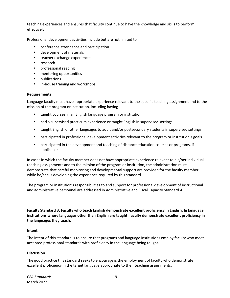teaching experiences and ensures that faculty continue to have the knowledge and skills to perform effectively.

Professional development activities include but are not limited to

- conference attendance and participation
- development of materials
- teacher exchange experiences
- research
- professional reading
- mentoring opportunities
- publications
- in-house training and workshops

#### **Requirements**

Language faculty must have appropriate experience relevant to the specific teaching assignment and to the mission of the program or institution, including having

- taught courses in an English language program or institution
- had a supervised practicum experience or taught English in supervised settings
- taught English or other languages to adult and/or postsecondary students in supervised settings
- participated in professional development activities relevant to the program or institution's goals
- participated in the development and teaching of distance education courses or programs, if applicable

In cases in which the faculty member does not have appropriate experience relevant to his/her individual teaching assignments and to the mission of the program or institution, the administration must demonstrate that careful monitoring and developmental support are provided for the faculty member while he/she is developing the experience required by this standard.

The program or institution's responsibilities to and support for professional development of instructional and administrative personnel are addressed in Administrative and Fiscal Capacity Standard 4.

**Faculty Standard 3: Faculty who teach English demonstrate excellent proficiency in English. In language institutions where languages other than English are taught, faculty demonstrate excellent proficiency in the languages they teach.**

#### **Intent**

The intent of this standard is to ensure that programs and language institutions employ faculty who meet accepted professional standards with proficiency in the language being taught.

#### **Discussion**

The good practice this standard seeks to encourage is the employment of faculty who demonstrate excellent proficiency in the target language appropriate to their teaching assignments.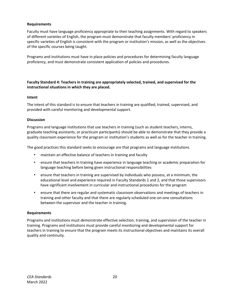#### **Requirements**

Faculty must have language proficiency appropriate to their teaching assignments. With regard to speakers of different varieties of English, the program must demonstrate that faculty members' proficiency in specific varieties of English is consistent with the program or institution's mission, as well as the objectives of the specific courses being taught.

Programs and institutions must have in place policies and procedures for determining faculty language proficiency, and must demonstrate consistent application of policies and procedures.

# **Faculty Standard 4: Teachers in training are appropriately selected, trained, and supervised for the instructional situations in which they are placed.**

#### **Intent**

The intent of this standard is to ensure that teachers in training are qualified, trained, supervised, and provided with careful monitoring and developmental support.

#### **Discussion**

Programs and language institutions that use teachers in training (such as student teachers, interns, graduate teaching assistants, or practicum participants) should be able to demonstrate that they provide a quality classroom experience for the program or institution's students as well as for the teacher in training.

The good practices this standard seeks to encourage are that programs and language institutions

- maintain an effective balance of teachers in training and faculty
- ensure that teachers in training have experience in language teaching or academic preparation for language teaching before being given instructional responsibilities
- ensure that teachers in training are supervised by individuals who possess, at a minimum, the educational level and experience required in Faculty Standards 1 and 2, and that those supervisors have significant involvement in curricular and instructional procedures for the program
- ensure that there are regular and systematic classroom observations and meetings of teachers in training and other faculty and that there are regularly scheduled one-on-one consultations between the supervisor and the teacher in training.

#### **Requirements**

Programs and institutions must demonstrate effective selection, training, and supervision of the teacher in training. Programs and institutions must provide careful monitoring and developmental support for teachers in training to ensure that the program meets its instructional objectives and maintains its overall quality and continuity.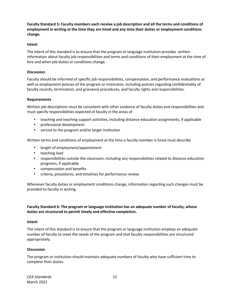**Faculty Standard 5: Faculty members each receive a job description and all the terms and conditions of employment in writing at the time they are hired and any time their duties or employment conditions change.**

## **Intent**

The intent of this standard is to ensure that the program or language institution provides written information about faculty job responsibilities and terms and conditions of their employment at the time of hire and when job duties or conditions change.

## **Discussion**

Faculty should be informed of specific job responsibilities, compensation, and performance evaluations as well as employment policies of the program or institution, including policies regarding confidentiality of faculty records, termination, and grievance procedures, and faculty rights and responsibilities.

#### **Requirements**

Written job descriptions must be consistent with other evidence of faculty duties and responsibilities and must specify responsibilities expected of faculty in the areas of

- teaching and teaching support activities, including distance education assignments, if applicable
- professional development
- service to the program and/or larger institution

Written terms and conditions of employment at the time a faculty member is hired must describe

- length of employment/appointment
- teaching load
- responsibilities outside the classroom, including any responsibilities related to distance education programs, if applicable
- compensation and benefits
- criteria, procedures, and timelines for performance review

Whenever faculty duties or employment conditions change, information regarding such changes must be provided to faculty in writing.

**Faculty Standard 6: The program or language institution has an adequate number of faculty, whose duties are structured to permit timely and effective completion.**

#### **Intent**

The intent of this standard is to ensure that the program or language institution employs an adequate number of faculty to meet the needs of the program and that faculty responsibilities are structured appropriately.

#### **Discussion**

The program or institution should maintain adequate numbers of faculty who have sufficient time to complete their duties.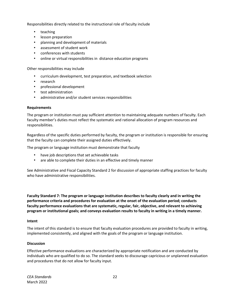Responsibilities directly related to the instructional role of faculty include

- teaching
- lesson preparation
- planning and development of materials
- assessment of student work
- conferences with students
- online or virtual responsibilities in distance education programs

Other responsibilities may include

- curriculum development, test preparation, and textbook selection
- research
- professional development
- test administration
- administrative and/or student services responsibilities

#### **Requirements**

The program or institution must pay sufficient attention to maintaining adequate numbers of faculty. Each faculty member's duties must reflect the systematic and rational allocation of program resources and responsibilities.

Regardless of the specific duties performed by faculty, the program or institution is responsible for ensuring that the faculty can complete their assigned duties effectively.

The program or language institution must demonstrate that faculty

- have job descriptions that set achievable tasks
- are able to complete their duties in an effective and timely manner

See Administrative and Fiscal Capacity Standard 2 for discussion of appropriate staffing practices for faculty who have administrative responsibilities.

**Faculty Standard 7: The program or language institution describes to faculty clearly and in writing the performance criteria and procedures for evaluation at the onset of the evaluation period; conducts faculty performance evaluations that are systematic, regular, fair, objective, and relevant to achieving program or institutional goals; and conveys evaluation results to faculty in writing in a timely manner.**

#### **Intent**

The intent of this standard is to ensure that faculty evaluation procedures are provided to faculty in writing, implemented consistently, and aligned with the goals of the program or language institution.

#### **Discussion**

Effective performance evaluations are characterized by appropriate notification and are conducted by individuals who are qualified to do so. The standard seeks to discourage capricious or unplanned evaluation and procedures that do not allow for faculty input.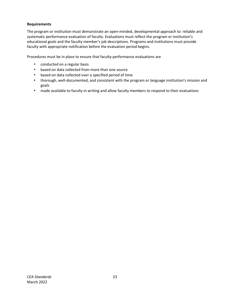## **Requirements**

The program or institution must demonstrate an open-minded, developmental approach to reliable and systematic performance evaluation of faculty. Evaluations must reflect the program or institution's educational goals and the faculty member's job descriptions. Programs and institutions must provide faculty with appropriate notification before the evaluation period begins.

Procedures must be in place to ensure that faculty performance evaluations are

- conducted on a regular basis
- based on data collected from more than one source
- based on data collected over a specified period of time
- thorough, well-documented, and consistent with the program or language institution's mission and goals
- made available to faculty in writing and allow faculty members to respond to their evaluations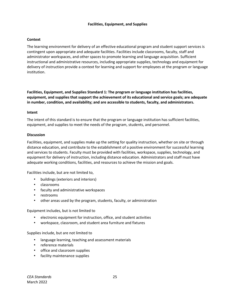## **Facilities, Equipment, and Supplies**

## **Context**

The learning environment for delivery of an effective educational program and student support services is contingent upon appropriate and adequate facilities. Facilities include classrooms, faculty, staff and administrator workspaces, and other spaces to promote learning and language acquisition. Sufficient instructional and administrative resources, including appropriate supplies, technology and equipment for delivery of instruction provide a context for learning and support for employees at the program or language institution.

**Facilities, Equipment, and Supplies Standard 1: The program or language institution has facilities, equipment, and supplies that support the achievement of its educational and service goals; are adequate in number, condition, and availability; and are accessible to students, faculty, and administrators.**

#### **Intent**

The intent of this standard is to ensure that the program or language institution has sufficient facilities, equipment, and supplies to meet the needs of the program, students, and personnel.

#### **Discussion**

Facilities, equipment, and supplies make up the setting for quality instruction, whether on site or through distance education, and contribute to the establishment of a positive environment for successful learning and services to students. Faculty must be provided with facilities, workspace, supplies, technology, and equipment for delivery of instruction, including distance education. Administrators and staff must have adequate working conditions, facilities, and resources to achieve the mission and goals.

Facilities include, but are not limited to,

- buildings (exteriors and interiors)
- classrooms
- faculty and administrative workspaces
- restrooms
- other areas used by the program, students, faculty, or administration

Equipment includes, but is not limited to

- electronic equipment for instruction, office, and student activities
- workspace, classroom, and student area furniture and fixtures

Supplies include, but are not limited to

- language learning, teaching and assessment materials
- reference materials
- office and classroom supplies
- facility maintenance supplies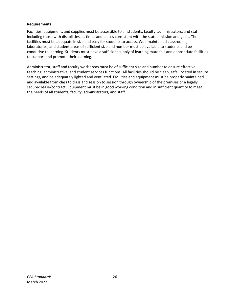#### **Requirements**

Facilities, equipment, and supplies must be accessible to all students, faculty, administrators, and staff, including those with disabilities, at times and places consistent with the stated mission and goals. The facilities must be adequate in size and easy for students to access. Well-maintained classrooms, laboratories, and student areas of sufficient size and number must be available to students and be conducive to learning. Students must have a sufficient supply of learning materials and appropriate facilities to support and promote their learning.

Administrator, staff and faculty work areas must be of sufficient size and number to ensure effective teaching, administrative, and student services functions. All facilities should be clean, safe, located in secure settings, and be adequately lighted and ventilated. Facilities and equipment must be properly maintained and available from class to class and session to session through ownership of the premises or a legally secured lease/contract. Equipment must be in good working condition and in sufficient quantity to meet the needs of all students, faculty, administrators, and staff.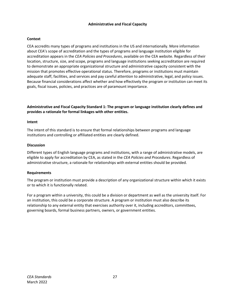#### **Administrative and Fiscal Capacity**

## <span id="page-32-0"></span>**Context**

CEA accredits many types of programs and institutions in the US and internationally. More information about CEA's scope of accreditation and the types of programs and language institution eligible for accreditation appears in the *CEA Policies and Procedures*, available on the CEA website. Regardless of their location, structure, size, and scope, programs and language institutions seeking accreditation are required to demonstrate an appropriate organizational structure and administrative capacity consistent with the mission that promotes effective operational status. Therefore, programs or institutions must maintain adequate staff, facilities, and services and pay careful attention to administrative, legal, and policy issues. Because financial considerations affect whether and how effectively the program or institution can meet its goals, fiscal issues, policies, and practices are of paramount importance.

# **Administrative and Fiscal Capacity Standard 1: The program or language institution clearly defines and provides a rationale for formal linkages with other entities.**

## **Intent**

The intent of this standard is to ensure that formal relationships between programs and language institutions and controlling or affiliated entities are clearly defined.

## **Discussion**

Different types of English language programs and institutions, with a range of administrative models, are eligible to apply for accreditation by CEA, as stated in the *CEA Policies and Procedures*. Regardless of administrative structure, a rationale for relationships with external entities should be provided.

#### **Requirements**

The program or institution must provide a description of any organizational structure within which it exists or to which it is functionally related.

For a program within a university, this could be a division or department as well as the university itself. For an institution, this could be a corporate structure. A program or institution must also describe its relationship to any external entity that exercises authority over it, including accreditors, committees, governing boards, formal business partners, owners, or government entities.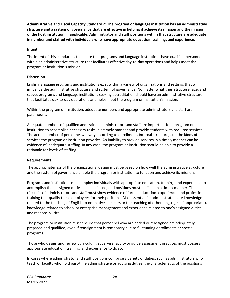**Administrative and Fiscal Capacity Standard 2: The program or language institution has an administrative structure and a system of governance that are effective in helping it achieve its mission and the mission of the host institution, if applicable. Administrator and staff positions within that structure are adequate in number and staffed with individuals who have appropriate education, training, and experience.** 

## **Intent**

The intent of this standard is to ensure that programs and language institutions have qualified personnel within an administrative structure that facilitates effective day-to-day operations and helps meet the program or institution's mission.

## **Discussion**

English language programs and institutions exist within a variety of organizations and settings that will influence the administrative structure and system of governance. No matter what their structure, size, and scope, programs and language institutions seeking accreditation should have an administrative structure that facilitates day-to-day operations and helps meet the program or institution's mission.

Within the program or institution, adequate numbers and appropriate administrators and staff are paramount.

Adequate numbers of qualified and trained administrators and staff are important for a program or institution to accomplish necessary tasks in a timely manner and provide students with required services. The actual number of personnel will vary according to enrollment, internal structure, and the kinds of services the program or institution provides. An inability to provide services in a timely manner can be evidence of inadequate staffing. In any case, the program or institution should be able to provide a rationale for levels of staffing.

#### **Requirements**

The appropriateness of the organizational design must be based on how well the administrative structure and the system of governance enable the program or institution to function and achieve its mission.

Programs and institutions must employ individuals with appropriate education, training, and experience to accomplish their assigned duties in all positions, and positions must be filled in a timely manner. The résumés of administrators and staff must show evidence of formal education, experience, and professional training that qualify these employees for their positions. Also essential for administrators are knowledge related to the teaching of English to nonnative speakers or the teaching of other languages (if appropriate), knowledge related to school or enterprise management and experience related to one's assigned duties and responsibilities.

The program or institution must ensure that personnel who are added or reassigned are adequately prepared and qualified, even if reassignment is temporary due to fluctuating enrollments or special programs.

Those who design and review curriculum, supervise faculty or guide assessment practices must possess appropriate education, training, and experience to do so.

In cases where administrator and staff positions comprise a variety of duties, such as administrators who teach or faculty who hold part-time administrative or advising duties, the characteristics of the positions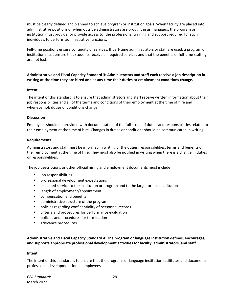must be clearly defined and planned to achieve program or institution goals. When faculty are placed into administrative positions or when outside administrators are brought in as managers, the program or institution must provide (or provide access to) the professional training and support required for such individuals to perform administrative functions.

Full-time positions ensure continuity of services. If part-time administrators or staff are used, a program or institution must ensure that students receive all required services and that the benefits of full-time staffing are not lost.

# **Administrative and Fiscal Capacity Standard 3: Administrators and staff each receive a job description in writing at the time they are hired and at any time their duties or employment conditions change.**

# **Intent**

The intent of this standard is to ensure that administrators and staff receive written information about their job responsibilities and all of the terms and conditions of their employment at the time of hire and whenever job duties or conditions change.

## **Discussion**

Employees should be provided with documentation of the full scope of duties and responsibilities related to their employment at the time of hire. Changes in duties or conditions should be communicated in writing.

## **Requirements**

Administrators and staff must be informed in writing of the duties, responsibilities, terms and benefits of their employment at the time of hire. They must also be notified in writing when there is a change in duties or responsibilities.

The job descriptions or other official hiring and employment documents must include

- job responsibilities
- professional development expectations
- expected service to the institution or program and to the larger or host institution
- length of employment/appointment
- compensation and benefits
- administrative structure of the program
- policies regarding confidentiality of personnel records
- criteria and procedures for performance evaluation
- policies and procedures for termination
- grievance procedures

**Administrative and Fiscal Capacity Standard 4: The program or language institution defines, encourages, and supports appropriate professional development activities for faculty, administrators, and staff.** 

#### **Intent**

The intent of this standard is to ensure that the programs or language institution facilitates and documents professional development for all employees.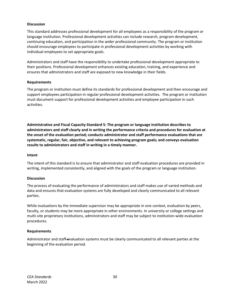## **Discussion**

This standard addresses professional development for all employees as a responsibility of the program or language institution. Professional development activities can include research, program development, continuing education, and participation in the wider professional community. The program or institution should encourage employees to participate in professional development activities by working with individual employees to set appropriate goals.

Administrators and staff have the responsibility to undertake professional development appropriate to their positions. Professional development enhances existing education, training, and experience and ensures that administrators and staff are exposed to new knowledge in their fields.

## **Requirements**

The program or institution must define its standards for professional development and then encourage and support employees participation in regular professional development activities. The program or institution must document support for professional development activities and employee participation in such activities.

**Administrative and Fiscal Capacity Standard 5: The program or language institution describes to administrators and staff clearly and in writing the performance criteria and procedures for evaluation at the onset of the evaluation period; conducts administrator and staff performance evaluations that are systematic, regular, fair, objective, and relevant to achieving program goals; and conveys evaluation results to administrators and staff in writing in a timely manner.**

#### **Intent**

The intent of this standard is to ensure that administrator and staff evaluation procedures are provided in writing, implemented consistently, and aligned with the goals of the program or language institution.

# **Discussion**

The process of evaluating the performance of administrators and staff makes use of varied methods and data and ensures that evaluation systems are fully developed and clearly communicated to all relevant parties.

While evaluations by the immediate supervisor may be appropriate in one context, evaluation by peers, faculty, or students may be more appropriate in other environments. In university or college settings and multi-site proprietary institutions, administrators and staff may be subject to institution-wide evaluation procedures.

# **Requirements**

Administrator and staff evaluation systems must be clearly communicated to all relevant parties at the beginning of the evaluation period.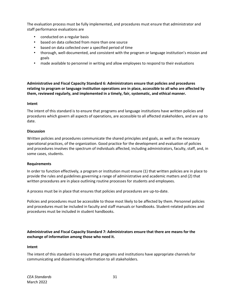The evaluation process must be fully implemented, and procedures must ensure that administrator and staff performance evaluations are

- conducted on a regular basis
- based on data collected from more than one source
- based on data collected over a specified period of time
- thorough, well-documented, and consistent with the program or language institution's mission and goals
- made available to personnel in writing and allow employees to respond to their evaluations

**Administrative and Fiscal Capacity Standard 6: Administrators ensure that policies and procedures relating to program or language institution operations are in place, accessible to all who are affected by them, reviewed regularly, and implemented in a timely, fair, systematic, and ethical manner.**

## **Intent**

The intent of this standard is to ensure that programs and language institutions have written policies and procedures which govern all aspects of operations, are accessible to all affected stakeholders, and are up to date.

## **Discussion**

Written policies and procedures communicate the shared principles and goals, as well as the necessary operational practices, of the organization. Good practice for the development and evaluation of policies and procedures involves the spectrum of individuals affected, including administrators, faculty, staff, and, in some cases, students.

# **Requirements**

In order to function effectively, a program or institution must ensure (1) that written policies are in place to provide the rules and guidelines governing a range of administrative and academic matters and (2) that written procedures are in place outlining routine processes for students and employees.

A process must be in place that ensures that policies and procedures are up-to-date.

Policies and procedures must be accessible to those most likely to be affected by them. Personnel policies and procedures must be included in faculty and staff manuals or handbooks. Student-related policies and procedures must be included in student handbooks.

# **Administrative and Fiscal Capacity Standard 7: Administrators ensure that there are means for the exchange of information among those who need it.**

# **Intent**

The intent of this standard is to ensure that programs and institutions have appropriate channels for communicating and disseminating information to all stakeholders.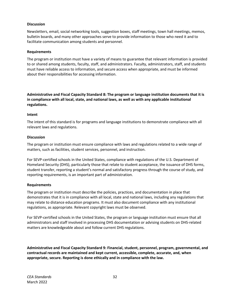## **Discussion**

Newsletters, email, social networking tools, suggestion boxes, staff meetings, town hall meetings, memos, bulletin boards, and many other approaches serve to provide information to those who need it and to facilitate communication among students and personnel.

## **Requirements**

The program or institution must have a variety of means to guarantee that relevant information is provided to or shared among students, faculty, staff, and administrators. Faculty, administrators, staff, and students must have reliable access to information, and secure access when appropriate, and must be informed about their responsibilities for accessing information.

**Administrative and Fiscal Capacity Standard 8: The program or language institution documents that it is in compliance with all local, state, and national laws, as well as with any applicable institutional regulations.**

## **Intent**

The intent of this standard is for programs and language institutions to demonstrate compliance with all relevant laws and regulations.

## **Discussion**

The program or institution must ensure compliance with laws and regulations related to a wide range of matters, such as facilities, student services, personnel, and instruction.

For SEVP-certified schools in the United States, compliance with regulations of the U.S. Department of Homeland Security (DHS), particularly those that relate to student acceptance, the issuance of DHS forms, student transfer, reporting a student's normal and satisfactory progress through the course of study, and reporting requirements, is an important part of administration.

#### **Requirements**

The program or institution must describe the policies, practices, and documentation in place that demonstrates that it is in compliance with all local, state and national laws, including any regulations that may relate to distance education programs. It must also document compliance with any institutional regulations, as appropriate. Relevant copyright laws must be observed.

For SEVP-certified schools in the United States, the program or language institution must ensure that all administrators and staff involved in processing DHS documentation or advising students on DHS-related matters are knowledgeable about and follow current DHS regulations.

**Administrative and Fiscal Capacity Standard 9: Financial, student, personnel, program, governmental, and contractual records are maintained and kept current, accessible, complete, accurate, and, when appropriate, secure. Reporting is done ethically and in compliance with the law.**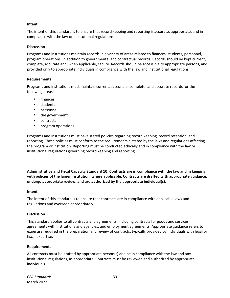#### **Intent**

The intent of this standard is to ensure that record keeping and reporting is accurate, appropriate, and in compliance with the law or institutional regulations.

#### **Discussion**

Programs and institutions maintain records in a variety of areas related to finances, students, personnel, program operations, in addition to governmental and contractual records. Records should be kept current, complete, accurate and, when applicable, secure. Records should be accessible to appropriate persons, and provided only to appropriate individuals in compliance with the law and institutional regulations.

#### **Requirements**

Programs and institutions must maintain current, accessible, complete, and accurate records for the following areas:

- finances
- students
- personnel
- the government
- contracts
- program operations

Programs and institutions must have stated policies regarding record keeping, record retention, and reporting. These policies must conform to the requirements dictated by the laws and regulations affecting the program or institution. Reporting must be conducted ethically and in compliance with the law or institutional regulations governing record keeping and reporting.

**Administrative and Fiscal Capacity Standard 10: Contracts are in compliance with the law and in keeping with policies of the larger institution, where applicable. Contracts are drafted with appropriate guidance, undergo appropriate review, and are authorized by the appropriate individual(s).**

#### **Intent**

The intent of this standard is to ensure that contracts are in compliance with applicable laws and regulations and overseen appropriately.

#### **Discussion**

This standard applies to all contracts and agreements, including contracts for goods and services, agreements with institutions and agencies, and employment agreements. Appropriate guidance refers to expertise required in the preparation and review of contracts, typically provided by individuals with legal or fiscal expertise.

#### **Requirements**

All contracts must be drafted by appropriate person(s) and be in compliance with the law and any institutional regulations, as appropriate. Contracts must be reviewed and authorized by appropriate individuals.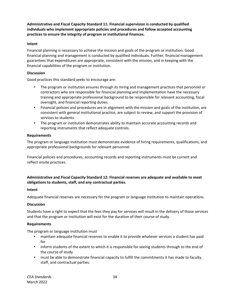**Administrative and Fiscal Capacity Standard 11: Financial supervision is conducted by qualified individuals who implement appropriate policies and procedures and follow accepted accounting practices to ensure the integrity of program or institutional finances.** 

## **Intent**

Financial planning is necessary to achieve the mission and goals of the program or institution. Good financial planning and management is conducted by qualified individuals. Further, financial management guarantees that expenditures are appropriate, consistent with the mission, and in keeping with the financial capabilities of the program or institution.

#### **Discussion**

Good practices this standard seeks to encourage are:

- The program or institution ensures through its hiring and management practices that personnel or contractors who are responsible for financial planning and implementation have the necessary training and appropriate professional background to be responsible for relevant accounting, fiscal oversight, and financial reporting duties.
- Financial policies and procedures are in alignment with the mission and goals of the institution, are consistent with general institutional practice, are subject to review, and support the provision of services to students.
- The program or institution demonstrates ability to maintain accurate accounting records and reporting instruments that reflect adequate controls.

## **Requirements**

The program or language institution must demonstrate evidence of hiring requirements, qualifications, and appropriate professional backgrounds for relevant personnel.

Financial policies and procedures, accounting records and reporting instruments must be current and reflect onsite practices.

# **Administrative and Fiscal Capacity Standard 12: Financial reserves are adequate and available to meet obligations to students, staff, and any contractual parties.**

#### **Intent**

Adequate financial reserves are necessary for the program or language institution to maintain operations.

#### **Discussion**

Students have a right to expect that the fees they pay for services will result in the delivery of those services and that the program or institution will exist for the duration of their course of study.

#### **Requirements**

The program or language institution must

- maintain adequate financial reserves to enable it to provide whatever services a student has paid for
- inform students of the extent to which it is responsible for seeing students through to the end of the course of study
- must be able to demonstrate financial capacity to fulfill the commitments it has made to faculty, staff, and contractual parties.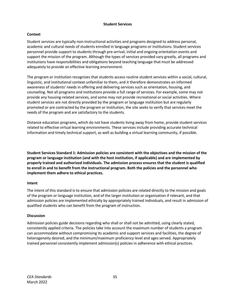## **Student Services**

# <span id="page-40-0"></span>**Context**

Student services are typically non-instructional activities and programs designed to address personal, academic and cultural needs of students enrolled in language programs or institutions. Student services personnel provide support to students through pre-arrival, initial and ongoing orientation events and support the mission of the program. Although the types of services provided vary greatly, all programs and institutions have responsibilities and obligations beyond teaching language that must be addressed adequately to provide an effective learning environment.

The program or institution recognizes that students access routine student services within a social, cultural, linguistic, and institutional context unfamiliar to them, and it therefore demonstrates an informed awareness of students' needs in offering and delivering services such as orientation, housing, and counseling. Not all programs and institutions provide a full range of services. For example, some may not provide any housing-related services, and some may not provide recreational or social activities. Where student services are not directly provided by the program or language institution but are regularly promoted or are contracted by the program or institution, the site seeks to verify that services meet the needs of the program and are satisfactory to the students.

Distance education programs, which do not have students living away from home, provide student services related to effective virtual learning environments. These services include providing accurate technical information and timely technical support, as well as building a virtual learning community, if possible.

**Student Services Standard 1: Admission policies are consistent with the objectives and the mission of the program or language institution (and with the host institution, if applicable) and are implemented by properly trained and authorized individuals. The admission process ensures that the student is qualified to enroll in and to benefit from the instructional program. Both the policies and the personnel who implement them adhere to ethical practices.**

# **Intent**

The intent of this standard is to ensure that admission policies are related directly to the mission and goals of the program or language institution, and of the larger institution or organization if relevant, and that admission policies are implemented ethically by appropriately trained individuals, and result in admission of qualified students who can benefit from the program of instruction.

# **Discussion**

Admission policies guide decisions regarding who shall or shall not be admitted, using clearly stated, consistently applied criteria. The policies take into account the maximum number of students a program can accommodate without compromising its academic and support services and facilities, the degree of heterogeneity desired, and the minimum/maximum proficiency level and ages served. Appropriately trained personnel consistently implement admission(s) policies in adherence with ethical practices.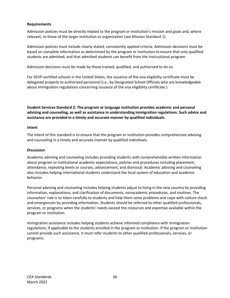#### **Requirements**

Admission policies must be directly related to the program or institution's mission and goals and, where relevant, to those of the larger institution or organization (see Mission Standard 1).

Admission policies must include clearly stated, consistently applied criteria. Admission decisions must be based on complete information as determined by the program or institution to ensure that only qualified students are admitted, and that admitted students can benefit from the instructional program.

Admission decisions must be made by those trained, qualified, and authorized to do so.

For SEVP-certified schools in the United States, the issuance of the visa eligibility certificate must be delegated properly to authorized personnel (i.e., by Designated School Officials who are knowledgeable about immigration regulations concerning issuance of the visa eligibility certificate.)

**Student Services Standard 2: The program or language institution provides academic and personal advising and counseling, as well as assistance in understanding immigration regulations. Such advice and assistance are provided in a timely and accurate manner by qualified individuals.**

## **Intent**

The intent of this standard is to ensure that the program or institution provides comprehensive advising and counseling in a timely and accurate manner by qualified individuals.

## **Discussion**

Academic advising and counseling includes providing students with comprehensible written information about program or institutional academic expectations, policies and procedures including placement, attendance, repeating levels or courses, advancement, and dismissal. Academic advising and counseling also includes helping international students understand the local system of education and academic behavior.

Personal advising and counseling includes helping students adjust to living in the new country by providing information, explanations, and clarification of documents, nonacademic procedures, and routines. The counselors' role is to listen carefully to students and help them solve problems and cope with culture shock and emergencies by providing information. Students should be referred to other qualified professionals, services, or programs when the students' needs exceed the resources and expertise available within the program or institution.

Immigration assistance includes helping students achieve informed compliance with immigration regulations, if applicable to the students enrolled in the program or institution. If the program or institution cannot provide such assistance, it must refer students to other qualified professionals, services, or programs.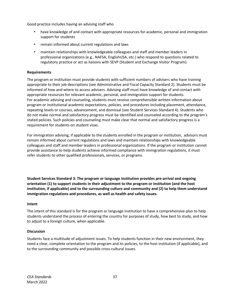Good practice includes having an advising staff who

- have knowledge of and contact with appropriate resources for academic, personal and immigration support for students
- remain informed about current regulations and laws
- maintain relationships with knowledgeable colleagues and staff and member leaders in professional organizations (e.g., NAFSA, EnglishUSA, etc.) who respond to questions related to regulatory practice or act as liaisons with SEVP (Student and Exchange Visitor Program).

## **Requirements**

The program or institution must provide students with sufficient numbers of advisers who have training appropriate to their job descriptions (see Administrative and Fiscal Capacity Standard 2). Students must be informed of how and where to access advisers. Advising staff must have knowledge of and contact with appropriate resources for relevant academic, personal, and immigration support for students. For academic advising and counseling, students must receive comprehensible written information about program or institutional academic expectations, policies, and procedures including placement, attendance, repeating levels or courses, advancement, and dismissal (see Student Services Standard 4). Students who do not make normal and satisfactory progress must be identified and counseled according to the program's stated policies. Such policies and counseling must make clear that normal and satisfactory progress is a requirement for students on student visas.

For immigration advising, if applicable to the students enrolled in the program or institution, advisors must remain informed about current regulations and laws and maintain relationships with knowledgeable colleagues and staff and member leaders in professional organizations. If the program or institution cannot provide assistance to help students achieve informed compliance with immigration regulations, it must refer students to other qualified professionals, services, or programs.

**Student Services Standard 3: The program or language institution provides pre-arrival and ongoing orientation (1) to support students in their adjustment to the program or institution (and the host institution, if applicable) and to the surrounding culture and community and (2) to help them understand immigration regulations and procedures, as well as health and safety issues.**

#### **Intent**

The intent of this standard is for the program or language institution to have a comprehensive plan to help students understand the process of entering the country for purposes of study, how best to study, and how to adjust to a foreign culture, when applicable.

# **Discussion**

Students face a multitude of adjustment issues. To help students function in their new environment, they need a clear, complete orientation to the program and its policies, to the host institution (if applicable), and to the surrounding community and possible cross-cultural issues.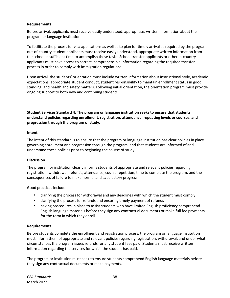#### **Requirements**

Before arrival, applicants must receive easily understood, appropriate, written information about the program or language institution.

To facilitate the process for visa applications as well as to plan for timely arrival as required by the program, out-of-country student applicants must receive easily understood, appropriate written information from the school in sufficient time to accomplish these tasks. School transfer applicants or other in-country applicants must have access to correct, comprehensible information regarding the required transfer process in order to comply with immigration regulations.

Upon arrival, the students' orientation must include written information about instructional style, academic expectations, appropriate student conduct, student responsibility to maintain enrollment status in good standing, and health and safety matters. Following initial orientation, the orientation program must provide ongoing support to both new and continuing students.

**Student Services Standard 4: The program or language institution seeks to ensure that students understand policies regarding enrollment, registration, attendance, repeating levels or courses, and progression through the program of study.**

#### **Intent**

The intent of this standard is to ensure that the program or language institution has clear policies in place governing enrollment and progression through the program, and that students are informed of and understand these policies prior to beginning the course of study.

#### **Discussion**

The program or institution clearly informs students of appropriate and relevant policies regarding registration, withdrawal, refunds, attendance, course repetition, time to complete the program, and the consequences of failure to make normal and satisfactory progress.

Good practices include

- clarifying the process for withdrawal and any deadlines with which the student must comply
- clarifying the process for refunds and ensuring timely payment of refunds
- having procedures in place to assist students who have limited English proficiency comprehend English language materials before they sign any contractual documents or make full fee payments for the term in which they enroll.

#### **Requirements**

Before students complete the enrollment and registration process, the program or language institution must inform them of appropriate and relevant policies regarding registration, withdrawal, and under what circumstances the program issues refunds for any student fees paid. Students must receive written information regarding the services for which the student has paid.

The program or institution must seek to ensure students comprehend English language materials before they sign any contractual documents or make payments.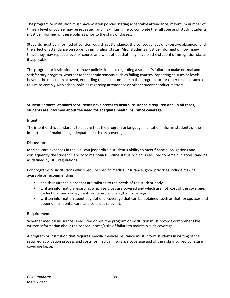The program or institution must have written policies stating acceptable attendance, maximum number of times a level or course may be repeated, and maximum time to complete the full course of study. Students must be informed of these policies prior to the start of classes.

Students must be informed of policies regarding attendance, the consequences of excessive absences, and the effect of attendance on student immigration status. Also, students must be informed of how many times they may repeat a level or course and what effect that may have on the student's immigration status if applicable.

The program or institution must have policies in place regarding a student's failure to make normal and satisfactory progress, whether for academic reasons such as failing courses, repeating courses or levels beyond the maximum allowed, exceeding the maximum time in the program, or for other reasons such as failure to comply with school policies regarding attendance or other student conduct matters.

## **Student Services Standard 5: Students have access to health insurance if required and, in all cases, students are informed about the need for adequate health insurance coverage.**

## **Intent**

The intent of this standard is to ensure that the program or language institution informs students of the importance of maintaining adequate health care coverage.

#### **Discussion**

Medical care expenses in the U.S. can jeopardize a student's ability to meet financial obligations and consequently the student's ability to maintain full-time status, which is required to remain in good standing as defined by DHS regulations.

For programs or institutions which require specific medical insurance, good practices include making available or recommending

- health insurance plans that are tailored to the needs of the student body
- written information regarding which services are covered and which are not, cost of the coverage, deductibles and co-payments required, and length of coverage
- written information about any optional coverage that can be obtained, such as that for spouses and dependents, dental care, and so on, as relevant.

#### **Requirements**

Whether medical insurance is required or not, the program or institution must provide comprehensible written information about the consequences/risks of failure to maintain such coverage.

A program or institution that requires specific medical insurance must inform students in writing of the required application process and costs for medical insurance coverage and of the risks incurred by letting coverage lapse.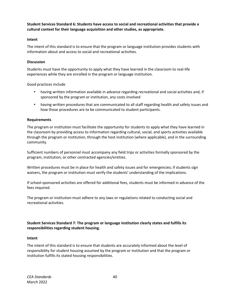**Student Services Standard 6: Students have access to social and recreational activities that provide a cultural context for their language acquisition and other studies, as appropriate.**

## **Intent**

The intent of this standard is to ensure that the program or language institution provides students with information about and access to social and recreational activities.

#### **Discussion**

Students must have the opportunity to apply what they have learned in the classroom to real-life experiences while they are enrolled in the program or language institution.

Good practices include

- having written information available in advance regarding recreational and social activities and, if sponsored by the program or institution, any costs involved
- having written procedures that are communicated to all staff regarding health and safety issues and how those procedures are to be communicated to student participants.

## **Requirements**

The program or institution must facilitate the opportunity for students to apply what they have learned in the classroom by providing access to information regarding cultural, social, and sports activities available through the program or institution, through the host institution (where applicable), and in the surrounding community.

Sufficient numbers of personnel must accompany any field trips or activities formally sponsored by the program, institution, or other contracted agencies/entities.

Written procedures must be in place for health and safety issues and for emergencies; if students sign waivers, the program or institution must verify the students' understanding of the implications.

If school-sponsored activities are offered for additional fees, students must be informed in advance of the fees required.

The program or institution must adhere to any laws or regulations related to conducting social and recreational activities.

# **Student Services Standard 7: The program or language institution clearly states and fulfills its responsibilities regarding student housing.**

#### **Intent**

The intent of this standard is to ensure that students are accurately informed about the level of responsibility for student housing assumed by the program or institution and that the program or institution fulfills its stated housing responsibilities.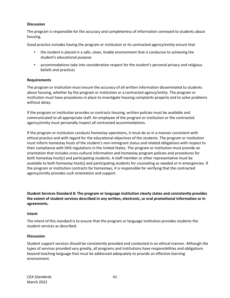## **Discussion**

The program is responsible for the accuracy and completeness of information conveyed to students about housing.

Good practice includes having the program or institution or its contracted agency/entity ensure that

- the student is placed in a safe, clean, livable environment that is conducive to achieving the student's educational purpose
- accommodations take into consideration respect for the student's personal privacy and religious beliefs and practices

#### **Requirements**

The program or institution must ensure the accuracy of all written information disseminated to students about housing, whether by the program or institution or a contracted agency/entity. The program or institution must have procedures in place to investigate housing complaints properly and to solve problems without delay.

If the program or institution provides or contracts housing, written policies must be available and communicated to all appropriate staff. An employee of the program or institution or the contracted agency/entity must personally inspect all contracted accommodations.

If the program or institution conducts homestay operations, it must do so in a manner consistent with ethical practice and with regard for the educational objectives of the students. The program or institution must inform homestay hosts of the student's non-immigrant status and related obligations with respect to their compliance with DHS regulations in the United States. The program or institution must provide an orientation that includes cross-cultural information and homestay program policies and procedures for both homestay host(s) and participating students. A staff member or other representative must be available to both homestay host(s) and participating students for counseling as needed or in emergencies. If the program or institution contracts for homestays, it is responsible for verifying that the contracted agency/entity provides such orientation and support.

**Student Services Standard 8: The program or language institution clearly states and consistently provides the extent of student services described in any written, electronic, or oral promotional information or in agreements.**

#### **Intent**

The intent of this standard is to ensure that the program or language institution provides students the student services as described.

#### **Discussion**

Student support services should be consistently provided and conducted in an ethical manner. Although the types of services provided vary greatly, all programs and institutions have responsibilities and obligations beyond teaching language that must be addressed adequately to provide an effective learning environment.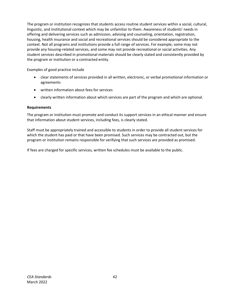The program or institution recognizes that students access routine student services within a social, cultural, linguistic, and institutional context which may be unfamiliar to them. Awareness of students' needs in offering and delivering services such as admission, advising and counseling, orientation, registration, housing, health insurance and social and recreational services should be considered appropriate to the context. Not all programs and institutions provide a full range of services. For example, some may not provide any housing-related services, and some may not provide recreational or social activities. Any student services described in promotional materials should be clearly stated and consistently provided by the program or institution or a contracted entity.

Examples of good practice include

- clear statements of services provided in all written, electronic, or verbal promotional information or agreements
- written information about fees for services
- clearly written information about which services are part of the program and which are optional.

# **Requirements**

The program or institution must promote and conduct its support services in an ethical manner and ensure that information about student services, including fees, is clearly stated.

Staff must be appropriately trained and accessible to students in order to provide all student services for which the student has paid or that have been promised. Such services may be contracted out, but the program or institution remains responsible for verifying that such services are provided as promised.

If fees are charged for specific services, written fee schedules must be available to the public.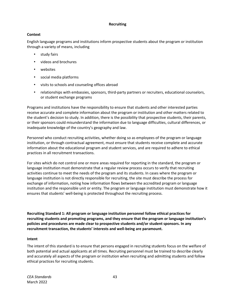#### **Recruiting**

# <span id="page-48-0"></span>**Context**

English language programs and institutions inform prospective students about the program or institution through a variety of means, including

- study fairs
- videos and brochures
- websites
- social media platforms
- visits to schools and counseling offices abroad
- relationships with embassies, sponsors, third-party partners or recruiters, educational counselors, or student exchange programs

Programs and institutions have the responsibility to ensure that students and other interested parties receive accurate and complete information about the program or institution and other matters related to the student's decision to study. In addition, there is the possibility that prospective students, their parents, or their sponsors could misunderstand the information due to language difficulties, cultural differences, or inadequate knowledge of the country's geography and law.

Personnel who conduct recruiting activities, whether doing so as employees of the program or language institution, or through contractual agreement, must ensure that students receive complete and accurate information about the educational program and student services, and are required to adhere to ethical practices in all recruitment transactions.

For sites which do not control one or more areas required for reporting in the standard, the program or language institution must demonstrate that a regular review process occurs to verify that recruiting activities continue to meet the needs of the program and its students. In cases where the program or language institution is not directly responsible for recruiting, the site must describe the process for exchange of information, noting how information flows between the accredited program or language institution and the responsible unit or entity. The program or language institution must demonstrate how it ensures that students' well-being is protected throughout the recruiting process.

**Recruiting Standard 1: All program or language institution personnel follow ethical practices for recruiting students and promoting programs, and they ensure that the program or language institution's policies and procedures are made clear to prospective students and/or student sponsors. In any recruitment transaction, the students' interests and well-being are paramount.**

# **Intent**

The intent of this standard is to ensure that persons engaged in recruiting students focus on the welfare of both potential and actual applicants at all times. Recruiting personnel must be trained to describe clearly and accurately all aspects of the program or institution when recruiting and admitting students and follow ethical practices for recruiting students.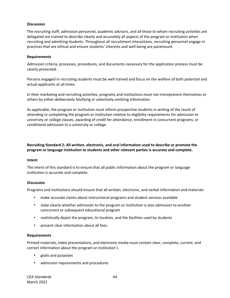#### **Discussion**

The recruiting staff, admission personnel, academic advisors, and all those to whom recruiting activities are delegated are trained to describe clearly and accurately all aspects of the program or institution when recruiting and admitting students. Throughout all recruitment interactions, recruiting personnel engage in practices that are ethical and ensure students' interests and well-being are paramount.

#### **Requirements**

Admission criteria, processes, procedures, and documents necessary for the application process must be clearly presented.

Persons engaged in recruiting students must be well trained and focus on the welfare of both potential and actual applicants at all times.

In their marketing and recruiting activities, programs and institutions must not misrepresent themselves or others by either deliberately falsifying or selectively omitting information.

As applicable, the program or institution must inform prospective students in writing of the result of attending or completing the program or institution relative to eligibility requirements for admission to university or college classes, awarding of credit for attendance, enrollment in concurrent programs, or conditional admission to a university or college.

## **Recruiting Standard 2: All written, electronic, and oral information used to describe or promote the program or language institution to students and other relevant parties is accurate and complete.**

#### **Intent**

The intent of this standard is to ensure that all public information about the program or language institution is accurate and complete.

#### **Discussion**

Programs and institutions should ensure that all written, electronic, and verbal information and materials

- make accurate claims about instructional programs and student services available
- state clearly whether admission to the program or institution is also admission to another concurrent or subsequent educational program
- realistically depict the program, its location, and the facilities used by students
- present clear information about all fees.

#### **Requirements**

Printed materials, video presentations, and electronic media must contain clear, complete, current, and correct information about the program or institution's

- goals and purposes
- admission requirements and procedures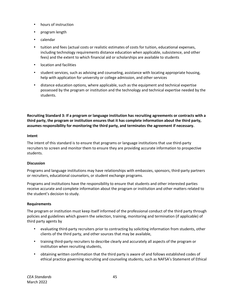- hours of instruction
- program length
- calendar
- tuition and fees (actual costs or realistic estimates of costs for tuition, educational expenses, including technology requirements distance education when applicable, subsistence, and other fees) and the extent to which financial aid or scholarships are available to students
- location and facilities
- student services, such as advising and counseling, assistance with locating appropriate housing, help with application for university or college admission, and other services
- distance education options, where applicable, such as the equipment and technical expertise possessed by the program or institution and the technology and technical expertise needed by the students.

**Recruiting Standard 3: If a program or language institution has recruiting agreements or contracts with a third party, the program or institution ensures that it has complete information about the third party, assumes responsibility for monitoring the third party, and terminates the agreement if necessary.**

## **Intent**

The intent of this standard is to ensure that programs or language institutions that use third-party recruiters to screen and monitor them to ensure they are providing accurate information to prospective students.

# **Discussion**

Programs and language institutions may have relationships with embassies, sponsors, third-party partners or recruiters, educational counselors, or student exchange programs.

Programs and institutions have the responsibility to ensure that students and other interested parties receive accurate and complete information about the program or institution and other matters related to the student's decision to study.

# **Requirements**

The program or institution must keep itself informed of the professional conduct of the third party through policies and guidelines which govern the selection, training, monitoring and termination (if applicable) of third party agents by

- evaluating third-party recruiters prior to contracting by soliciting information from students, other clients of the third party, and other sources that may be available,
- training third-party recruiters to describe clearly and accurately all aspects of the program or institution when recruiting students,
- obtaining written confirmation that the third party is aware of and follows established codes of ethical practice governing recruiting and counseling students, such as NAFSA's Statement of Ethical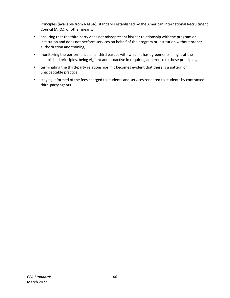Principles (available from NAFSA), standards established by the American International Recruitment Council (AIRC), or other means,

- ensuring that the third party does not misrepresent his/her relationship with the program or institution and does not perform services on behalf of the program or institution without proper authorization and training,
- monitoring the performance of all third parties with which it has agreements in light of the established principles, being vigilant and proactive in requiring adherence to these principles,
- terminating the third-party relationships if it becomes evident that there is a pattern of unacceptable practice,
- staying informed of the fees charged to students and services rendered to students by contracted third-party agents.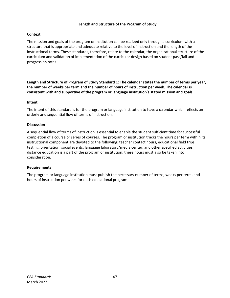## **Length and Structure of the Program of Study**

# <span id="page-52-0"></span>**Context**

The mission and goals of the program or institution can be realized only through a curriculum with a structure that is appropriate and adequate relative to the level of instruction and the length of the instructional terms. These standards, therefore, relate to the calendar, the organizational structure of the curriculum and validation of implementation of the curricular design based on student pass/fail and progression rates.

**Length and Structure of Program of Study Standard 1: The calendar states the number of terms per year, the number of weeks per term and the number of hours of instruction per week. The calendar is consistent with and supportive of the program or language institution's stated mission and goals.**

## **Intent**

The intent of this standard is for the program or language institution to have a calendar which reflects an orderly and sequential flow of terms of instruction.

## **Discussion**

A sequential flow of terms of instruction is essential to enable the student sufficient time for successful completion of a course or series of courses. The program or institution tracks the hours per term within its instructional component are devoted to the following: teacher contact hours, educational field trips, testing, orientation, social events, language laboratory/media center, and other specified activities. If distance education is a part of the program or institution, these hours must also be taken into consideration.

#### **Requirements**

The program or language institution must publish the necessary number of terms, weeks per term, and hours of instruction per week for each educational program.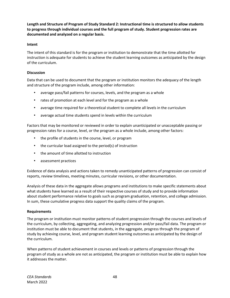**Length and Structure of Program of Study Standard 2: Instructional time is structured to allow students to progress through individual courses and the full program of study. Student progression rates are documented and analyzed on a regular basis.**

## **Intent**

The intent of this standard is for the program or institution to demonstrate that the time allotted for instruction is adequate for students to achieve the student learning outcomes as anticipated by the design of the curriculum.

## **Discussion**

Data that can be used to document that the program or institution monitors the adequacy of the length and structure of the program include, among other information:

- average pass/fail patterns for courses, levels, and the program as a whole
- rates of promotion at each level and for the program as a whole
- average time required for a theoretical student to complete all levels in the curriculum
- average actual time students spend in levels within the curriculum

Factors that may be monitored or reviewed in order to explain unanticipated or unacceptable passing or progression rates for a course, level, or the program as a whole include, among other factors:

- the profile of students in the course, level, or program
- the curricular load assigned to the period(s) of instruction
- the amount of time allotted to instruction
- assessment practices

Evidence of data analysis and actions taken to remedy unanticipated patterns of progression can consist of reports, review timelines, meeting minutes, curricular revisions, or other documentation.

Analysis of these data in the aggregate allows programs and institutions to make specific statements about what students have learned as a result of their respective courses of study and to provide information about student performance relative to goals such as program graduation, retention, and college admission. In sum, these cumulative progress data support the quality claims of the program.

#### **Requirements**

The program or institution must monitor patterns of student progression through the courses and levels of the curriculum, by collecting, aggregating, and analyzing progression and/or pass/fail data. The program or institution must be able to document that students, in the aggregate, progress through the program of study by achieving course, level, and program student learning outcomes as anticipated by the design of the curriculum.

When patterns of student achievement in courses and levels or patterns of progression through the program of study as a whole are not as anticipated, the program or institution must be able to explain how it addresses the matter.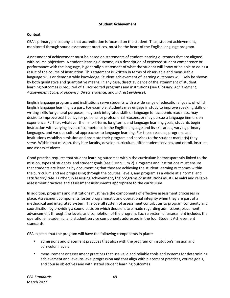## **Student Achievement**

# <span id="page-54-0"></span>**Context**

CEA's primary philosophy is that accreditation is focused on the student. Thus, student achievement, monitored through sound assessment practices, must be the heart of the English language program.

Assessment of achievement must be based on statements of student learning outcomes that are aligned with course objectives. A student learning outcome, as a description of expected student competence or performance with the language, is generally a statement of what the student will know or be able to do as a result of the course of instruction. This statement is written in terms of observable and measurable language skills or demonstrable knowledge. Student achievement of learning outcomes will likely be shown by both qualitative and quantitative means. In any case, direct evidence of the attainment of student learning outcomes is required of all accredited programs and institutions (see Glossary: *Achievement, Achievement Scale, Proficiency*, *Direct evidence,* and *Indirect evidence*).

English language programs and institutions serve students with a wide range of educational goals, of which English language learning is a part. For example, students may engage in study to improve speaking skills or writing skills for general purposes, may seek integrated skills or language for academic readiness, may desire to improve oral fluency for personal or professional reasons, or may pursue a language immersion experience. Further, whatever their short-term, long-term, and language learning goals, students begin instruction with varying levels of competence in the English language and its skill areas, varying primary languages, and various cultural approaches to language learning. For these reasons, programs and institutions establish a mission and promote their program and services to the student market(s) they serve. Within that mission, they hire faculty, develop curriculum, offer student services, and enroll, instruct, and assess students.

Good practice requires that student learning outcomes within the curriculum be transparently linked to the mission, types of students, and student goals (see Curriculum 2). Programs and institutions must ensure that students are learning by documenting that they are achieving the student learning outcomes within the curriculum and are progressing through the courses, levels, and program as a whole at a normal and satisfactory rate. Further, in assessing achievement, the programs or institutions must use valid and reliable assessment practices and assessment instruments appropriate to the curriculum.

In addition, programs and institutions must have the components of effective assessment processes in place. Assessment components foster programmatic and operational integrity when they are part of a methodical and integrated system. The overall system of assessment contributes to program continuity and coordination by providing a sound basis on which decisions are made regarding admissions, placement, advancement through the levels, and completion of the program. Such a system of assessment includes the operational, academic, and student service components addressed in the four Student Achievement standards.

CEA expects that the program will have the following components in place:

- admissions and placement practices that align with the program or institution's mission and curriculum levels
- measurement or assessment practices that use valid and reliable tools and systems for determining achievement and level-to-level progression and that align with placement practices, course goals, and course objectives and with stated student learning outcomes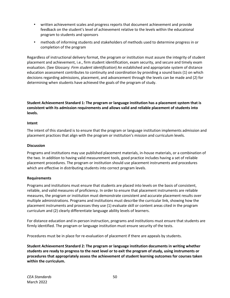- written achievement scales and progress reports that document achievement and provide feedback on the student's level of achievement relative to the levels within the educational program to students and sponsors
- methods of informing students and stakeholders of methods used to determine progress in or completion of the program

Regardless of instructional delivery format, the program or institution must assure the integrity of student placement and achievement, i.e., firm student identification, exam security, and secure and timely exam evaluation. (See Glossary: *Firm student identification*) An established and appropriate system of distance education assessment contributes to continuity and coordination by providing a sound basis (1) on which decisions regarding admissions, placement, and advancement through the levels can be made and (2) for determining when students have achieved the goals of the program of study.

**Student Achievement Standard 1: The program or language institution has a placement system that is consistent with its admission requirements and allows valid and reliable placement of students into levels.** 

## **Intent**

The intent of this standard is to ensure that the program or language institution implements admission and placement practices that align with the program or institution's mission and curriculum levels.

## **Discussion**

Programs and institutions may use published placement materials, in-house materials, or a combination of the two. In addition to having valid measurement tools, good practice includes having a set of reliable placement procedures. The program or institution should use placement instruments and procedures which are effective in distributing students into correct program levels.

# **Requirements**

Programs and institutions must ensure that students are placed into levels on the basis of consistent, reliable, and valid measures of proficiency. In order to ensure that placement instruments are reliable measures, the program or institution must demonstrate consistent and accurate placement results over multiple administrations. Programs and institutions must describe the curricular link, showing how the placement instruments and processes they use (1) evaluate skill or content areas cited in the program curriculum and (2) clearly differentiate language ability levels of learners.

For distance education and in-person instruction, programs and institutions must ensure that students are firmly identified. The program or language institution must ensure security of the tests.

Procedures must be in place for re-evaluation of placement if there are appeals by students.

**Student Achievement Standard 2: The program or language institution documents in writing whether students are ready to progress to the next level or to exit the program of study, using instruments or procedures that appropriately assess the achievement of student learning outcomes for courses taken within the curriculum.**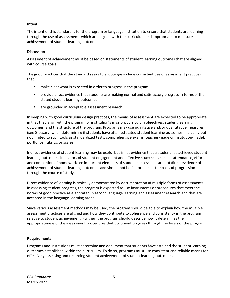## **Intent**

The intent of this standard is for the program or language institution to ensure that students are learning through the use of assessments which are aligned with the curriculum and appropriate to measure achievement of student learning outcomes.

#### **Discussion**

Assessment of achievement must be based on statements of student learning outcomes that are aligned with course goals.

The good practices that the standard seeks to encourage include consistent use of assessment practices that

- make clear what is expected in order to progress in the program
- provide direct evidence that students are making normal and satisfactory progress in terms of the stated student learning outcomes
- are grounded in acceptable assessment research.

In keeping with good curriculum design practices, the means of assessment are expected to be appropriate in that they align with the program or institution's mission, curriculum objectives, student learning outcomes, and the structure of the program. Programs may use qualitative and/or quantitative measures (see Glossary) when determining if students have attained stated student learning outcomes, including but not limited to such tools as standardized tests, comprehensive exams (teacher-made or institution-made), portfolios, rubrics, or scales.

Indirect evidence of student learning may be useful but is not evidence that a student has achieved student learning outcomes. Indicators of student engagement and effective study skills such as attendance, effort, and completion of homework are important elements of student success, but are not direct evidence of achievement of student learning outcomes and should not be factored in as the basis of progression through the course of study.

Direct evidence of learning is typically demonstrated by documentation of multiple forms of assessments. In assessing student progress, the program is expected to use instruments or procedures that meet the norms of good practice as elaborated in second language learning and assessment research and that are accepted in the language-learning arena.

Since various assessment methods may be used, the program should be able to explain how the multiple assessment practices are aligned and how they contribute to coherence and consistency in the program relative to student achievement. Further, the program should describe how it determines the appropriateness of the assessment procedures that document progress through the levels of the program.

#### **Requirements**

Programs and institutions must determine and document that students have attained the student learning outcomes established within the curriculum. To do so, programs must use consistent and reliable means for effectively assessing and recording student achievement of student learning outcomes.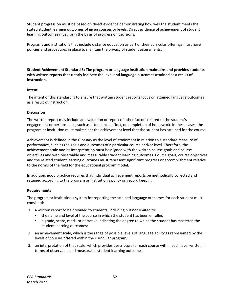Student progression must be based on direct evidence demonstrating how well the student meets the stated student learning outcomes of given courses or levels. Direct evidence of achievement of student learning outcomes must form the basis of progression decisions.

Programs and institutions that include distance education as part of their curricular offerings must have policies and procedures in place to maintain the privacy of student assessments.

**Student Achievement Standard 3: The program or language institution maintains and provides students with written reports that clearly indicate the level and language outcomes attained as a result of instruction.** 

# **Intent**

The intent of this standard is to ensure that written student reports focus on attained language outcomes as a result of instruction.

#### **Discussion**

The written report may include an evaluation or report of other factors related to the student's engagement or performance, such as attendance, effort, or completion of homework. In these cases, the program or institution must make clear the achievement level that the student has attained for the course.

Achievement is defined in the Glossary as the level of attainment in relation to a standard measure of performance, such as the goals and outcomes of a particular course and/or level. Therefore, the achievement scale and its interpretation must be aligned with the written course goals and course objectives and with observable and measurable student learning outcomes. Course goals, course objectives and the related student learning outcomes must represent significant progress or accomplishment relative to the norms of the field for the educational program model.

In addition, good practice requires that individual achievement reports be methodically collected and retained according to the program or institution's policy on record keeping.

#### **Requirements**

The program or institution's system for reporting the attained language outcomes for each student must consist of:

- 1. a written report to be provided to students, including but not limited to:
	- the name and level of the course in which the student has been enrolled
	- a grade, score, mark, or narrative indicating the degree to which the student has mastered the student learning outcomes;
- 2. an achievement scale, which is the range of possible levels of language ability as represented by the levels of courses offered within the curricular program;
- 3. an interpretation of that scale, which provides descriptors for each course within each level written in terms of observable and measurable student learning outcomes.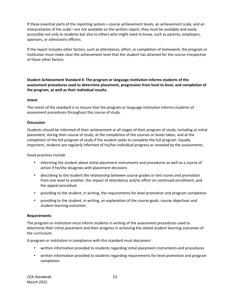If these essential parts of the reporting system—course achievement levels, an achievement scale, and an interpretation of the scale—are not available on the written report, they must be available and easily accessible not only to students but also to others who might need to know, such as parents, employers, sponsors, or admissions officers.

If the report includes other factors, such as attendance, effort, or completion of homework, the program or institution must make clear the achievement level that the student has attained for the course irrespective of these other factors.

**Student Achievement Standard 4: The program or language institution informs students of the assessment procedures used to determine placement, progression from level to level, and completion of the program, as well as their individual results.**

## **Intent**

The intent of the standard is to ensure that the program or language institution informs students of assessment procedures throughout the course of study.

## **Discussion**

Students should be informed of their achievement at all stages of their program of study, including at initial placement, during their course of study, at the completion of the courses or levels taken, and at the completion of the full program of study if the student seeks to complete the full program. Equally important, students are regularly informed of his/her individual progress as revealed by the assessments.

Good practices include

- informing the student about initial placement instruments and procedures as well as a course of action if he/she disagrees with placement decisions
- describing to the student the relationship between course grades or test scores and promotion from one level to another, the impact of attendance and/or effort on continued enrollment, and the appeal procedure
- providing to the student, in writing, the requirements for level promotion and program completion
- providing to the student, in writing, an explanation of the course goals, course objectives and student learning outcomes.

#### **Requirements**

The program or institution must inform students in writing of the assessment procedures used to determine their initial placement and their progress in achieving the stated student learning outcomes of the curriculum.

A program or institution in compliance with this standard must document

- written information provided to students regarding initial placement instruments and procedures
- written information provided to students regarding requirements for level promotion and program completion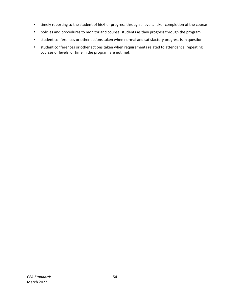- timely reporting to the student of his/her progress through a level and/or completion of the course
- policies and procedures to monitor and counsel students as they progress through the program
- student conferences or other actions taken when normal and satisfactory progress is in question
- student conferences or other actions taken when requirements related to attendance, repeating courses or levels, or time in the program are not met.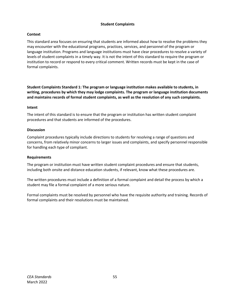## **Student Complaints**

# <span id="page-60-0"></span>**Context**

This standard area focuses on ensuring that students are informed about how to resolve the problems they may encounter with the educational programs, practices, services, and personnel of the program or language institution. Programs and language institutions must have clear procedures to resolve a variety of levels of student complaints in a timely way. It is not the intent of this standard to require the program or institution to record or respond to every critical comment. Written records must be kept in the case of formal complaints.

**Student Complaints Standard 1: The program or language institution makes available to students, in writing, procedures by which they may lodge complaints. The program or language institution documents and maintains records of formal student complaints, as well as the resolution of any such complaints.**

## **Intent**

The intent of this standard is to ensure that the program or institution has written student complaint procedures and that students are informed of the procedures.

## **Discussion**

Complaint procedures typically include directions to students for resolving a range of questions and concerns, from relatively minor concerns to larger issues and complaints, and specify personnel responsible for handling each type of compliant.

# **Requirements**

The program or institution must have written student complaint procedures and ensure that students, including both onsite and distance education students, if relevant, know what these procedures are.

The written procedures must include a definition of a formal complaint and detail the process by which a student may file a formal complaint of a more serious nature.

Formal complaints must be resolved by personnel who have the requisite authority and training. Records of formal complaints and their resolutions must be maintained.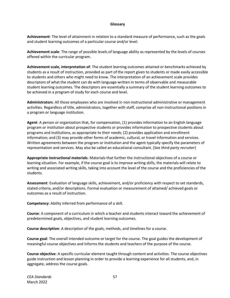#### **Glossary**

<span id="page-62-0"></span>**Achievement**: The level of attainment in relation to a standard measure of performance, such as the goals and student learning outcomes of a particular course and/or level.

**Achievement scale**: The range of possible levels of language ability as represented by the levels of courses offered within the curricular program.

**Achievement scale, interpretation of**: The student learning outcomes attained or benchmarks achieved by students as a result of instruction, provided as part of the report given to students or made easily accessible to students and others who might need to know. The interpretation of an achievement scale provides descriptors of what the student can do with language written in terms of observable and measurable student learning outcomes. The descriptors are essentially a summary of the student learning outcomes to be achieved in a program of study for each course and level.

**Administrators**: All those employees who are involved in non-instructional administrative or management activities. Regardless of title, administrators, together with staff, comprise all non-instructional positions in a program or language institution.

**Agent**: A person or organization that, for compensation, (1) provides information to an English language program or institution about prospective students or provides information to prospective students about programs and institutions, as appropriate to their needs; (2) provides application and enrollment information; and (3) may provide other forms of academic, cultural, or travel information and services. Written agreements between the program or institution and the agent typically specify the parameters of representation and services. May also be called an educational consultant. (See *third-party recruiter*)

**Appropriate instructional materials**: Materials that further the instructional objectives of a course or learning situation. For example, if the course goal is to improve writing skills, the materials will relate to writing and associated writing skills, taking into account the level of the course and the proficiencies of the students.

**Assessment**: Evaluation of language skills, achievement, and/or proficiency with respect to set standards, stated criteria, and/or descriptions. Formal evaluation or measurement of attained/ achieved goals or outcomes as a result of instruction.

**Competency**: Ability inferred from performance of a skill.

**Course**: A component of a curriculum in which a teacher and students interact toward the achievement of predetermined goals, objectives, and student learning outcomes.

**Course description**: A description of the goals, methods, and timelines for a course.

**Course goal**: The overall intended outcome or target for the course. The goal guides the development of meaningful course objectives and informs the students and teachers of the purpose of the course.

**Course objective**: A specific curricular element taught through content and activities. The course objectives guide instruction and lesson planning in order to provide a learning experience for all students, and, in aggregate, address the course goals.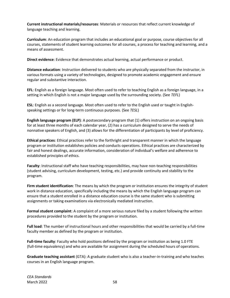**Current instructional materials/resources**: Materials or resources that reflect current knowledge of language teaching and learning.

**Curriculum**: An education program that includes an educational goal or purpose, course objectives for all courses, statements of student learning outcomes for all courses, a process for teaching and learning, and a means of assessment.

**Direct evidence**: Evidence that demonstrates actual learning, actual performance or product.

**Distance education**: Instruction delivered to students who are physically separated from the instructor, in various formats using a variety of technologies, designed to promote academic engagement and ensure regular and substantive interaction.

**EFL**: English as a foreign language. Most often used to refer to teaching English as a foreign language, in a setting in which English is not a major language used by the surrounding society. (See *TEFL*)

**ESL**: English as a second language. Most often used to refer to the English used or taught in Englishspeaking settings or for long-term continuous purposes. (See *TESL*)

**English language program (ELP)**: A postsecondary program that (1) offers instruction on an ongoing basis for at least three months of each calendar year, (2) has a curriculum designed to serve the needs of nonnative speakers of English, and (3) allows for the differentiation of participants by level of proficiency.

**Ethical practices**: Ethical practices refer to the forthright and transparent manner in which the language program or institution establishes policies and conducts operations. Ethical practices are characterized by fair and honest dealings, accurate information, consideration of individual's welfare and adherence to established principles of ethics.

**Faculty**: Instructional staff who have teaching responsibilities, may have non-teaching responsibilities (student advising, curriculum development, testing, etc.) and provide continuity and stability to the program.

**Firm student identification**: The means by which the program or institution ensures the integrity of student work in distance education, specifically including the means by which the English language program can ensure that a student enrolled in a distance education course is the same student who is submitting assignments or taking examinations via electronically mediated instruction.

**Formal student complaint**: A complaint of a more serious nature filed by a student following the written procedures provided to the student by the program or institution.

**Full load**: The number of instructional hours and other responsibilities that would be carried by a full-time faculty member as defined by the program or institution.

**Full-time faculty**: Faculty who hold positions defined by the program or institution as being 1.0 FTE (full-time equivalency) and who are available for assignment during the scheduled hours of operations.

**Graduate teaching assistant** (GTA): A graduate student who is also a teacher-in-training and who teaches courses in an English language program.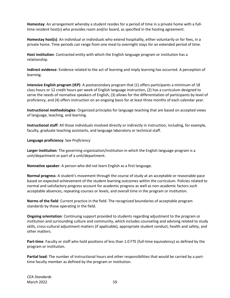**Homestay**: An arrangement whereby a student resides for a period of time in a private home with a fulltime resident host(s) who provides room and/or board, as specified in the hosting agreement.

**Homestay host(s)**: An individual or individuals who extend hospitality, either voluntarily or for fees, in a private home. Time periods can range from one meal to overnight stays for an extended period of time.

**Host institution**: Contracted entity with which the English language program or institution has a relationship.

**Indirect evidence**: Evidence related to the act of learning and imply learning has occurred. A perception of learning.

**Intensive English program (IEP)**: A postsecondary program that (1) offers participants a minimum of 18 class hours or 12 credit hours per week of English language instruction, (2) has a curriculum designed to serve the needs of nonnative speakers of English, (3) allows for the differentiation of participants by level of proficiency, and (4) offers instruction on an ongoing basis for at least three months of each calendar year.

**Instructional methodologies**: Organized principles for language teaching that are based on accepted views of language, teaching, and learning.

**Instructional staff**: All those individuals involved directly or indirectly in instruction, including, for example, faculty, graduate teaching assistants, and language laboratory or technical staff.

**Language proficiency**: See *Proficiency*

**Larger institution**: The governing organization/institution in which the English language program is a unit/department or part of a unit/department.

**Nonnative speaker**: A person who did not learn English as a first language.

**Normal progress**: A student's movement through the course of study at an acceptable or reasonable pace based on expected achievement of the student learning outcomes within the curriculum. Policies related to normal and satisfactory progress account for academic progress as well as non-academic factors such acceptable absences, repeating courses or levels, and overall time in the program or institution.

**Norms of the field**: Current practice in the field. The recognized boundaries of acceptable program standards by those operating in the field.

**Ongoing orientation**: Continuing support provided to students regarding adjustment to the program or institution and surrounding culture and community, which includes counseling and advising related to study skills, cross-cultural adjustment matters (if applicable), appropriate student conduct, health and safety, and other matters.

**Part-time**: Faculty or staff who hold positions of less than 1.0 FTE (full-time equivalency) as defined by the program or institution.

**Partial load**: The number of instructional hours and other responsibilities that would be carried by a parttime faculty member as defined by the program or institution.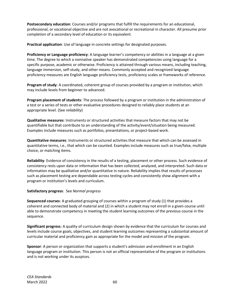**Postsecondary education**: Courses and/or programs that fulfill the requirements for an educational, professional, or vocational objective and are not avocational or recreational in character. All presume prior completion of a secondary level of education or its equivalent.

**Practical application**: Use of language in concrete settings for designated purposes.

**Proficiency or Language proficiency**: A language learner's competency or abilities in a language at a given time. The degree to which a nonnative speaker has demonstrated competencies using language for a specific purpose, academic or otherwise. Proficiency is attained through various means, including teaching, language immersion, self-study, and other means. Commonly accepted and recognized language proficiency measures are English language proficiency tests, proficiency scales or frameworks of reference.

**Program of study**: A coordinated, coherent group of courses provided by a program or institution, which may include levels from beginner to advanced.

**Program placement of students**: The process followed by a program or institution in the administration of a test or a series of tests or other evaluative procedures designed to reliably place students at an appropriate level. (See *reliability*)

**Qualitative measures**: Instruments or structured activities that measure factors that may not be quantifiable but that contribute to an understanding of the activity/event/situation being measured. Examples include measures such as portfolios, presentations, or project-based work.

**Quantitative measures**: Instruments or structured activities that measure that which can be assessed in quantitative terms, i.e., that which can be counted. Examples include measures such as true/false, multiple choice, or matching items.

**Reliability**: Evidence of consistency in the results of a testing, placement or other process. Such evidence of consistency rests upon data or information that has been collected, analyzed, and interpreted. Such data or information may be qualitative and/or quantitative in nature. Reliability implies that results of processes such as placement testing are dependable across testing cycles and consistently show alignment with a program or institution's levels and curriculum.

# **Satisfactory progress**: See *Normal progress*

**Sequenced courses**: A graduated grouping of courses within a program of study (1) that provides a coherent and connected body of material and (2) in which a student may not enroll in a given course until able to demonstrate competency in meeting the student learning outcomes of the previous course in the sequence.

**Significant progress**: A quality of curriculum design shown by evidence that the curriculum for courses and levels include course goals, objectives, and student learning outcomes representing a substantial amount of curricular material and proficiency gain as appropriate for the model and mission of the program.

**Sponsor**: A person or organization that supports a student's admission and enrollment in an English language program or institution. This person is not an official representative of the program or institutions and is not working under its auspices.